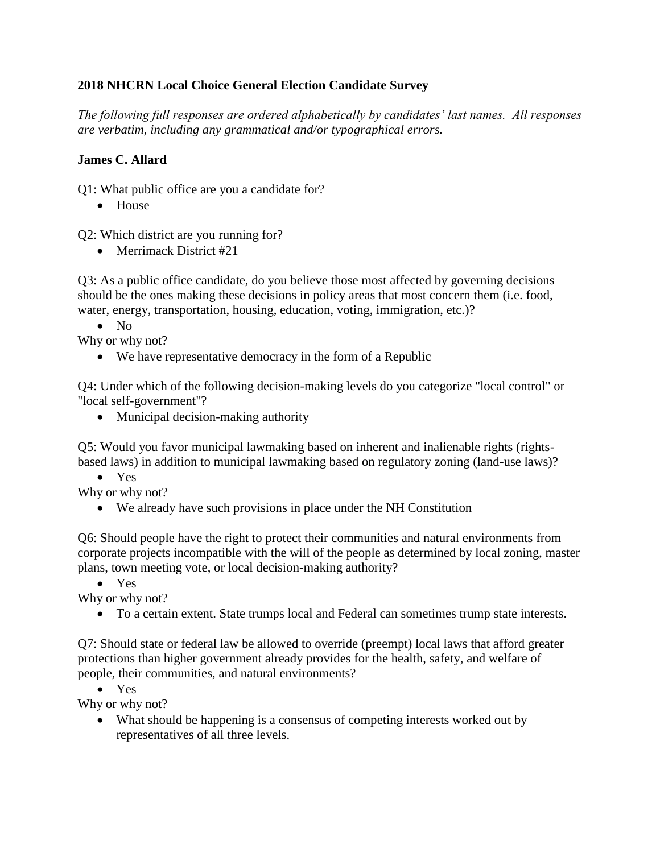### **2018 NHCRN Local Choice General Election Candidate Survey**

*The following full responses are ordered alphabetically by candidates' last names. All responses are verbatim, including any grammatical and/or typographical errors.* 

#### **James C. Allard**

Q1: What public office are you a candidate for?

• House

Q2: Which district are you running for?

• Merrimack District #21

Q3: As a public office candidate, do you believe those most affected by governing decisions should be the ones making these decisions in policy areas that most concern them (i.e. food, water, energy, transportation, housing, education, voting, immigration, etc.)?

• No

Why or why not?

• We have representative democracy in the form of a Republic

Q4: Under which of the following decision-making levels do you categorize "local control" or "local self-government"?

• Municipal decision-making authority

Q5: Would you favor municipal lawmaking based on inherent and inalienable rights (rightsbased laws) in addition to municipal lawmaking based on regulatory zoning (land-use laws)?

• Yes

Why or why not?

• We already have such provisions in place under the NH Constitution

Q6: Should people have the right to protect their communities and natural environments from corporate projects incompatible with the will of the people as determined by local zoning, master plans, town meeting vote, or local decision-making authority?

• Yes

Why or why not?

• To a certain extent. State trumps local and Federal can sometimes trump state interests.

Q7: Should state or federal law be allowed to override (preempt) local laws that afford greater protections than higher government already provides for the health, safety, and welfare of people, their communities, and natural environments?

• Yes

Why or why not?

• What should be happening is a consensus of competing interests worked out by representatives of all three levels.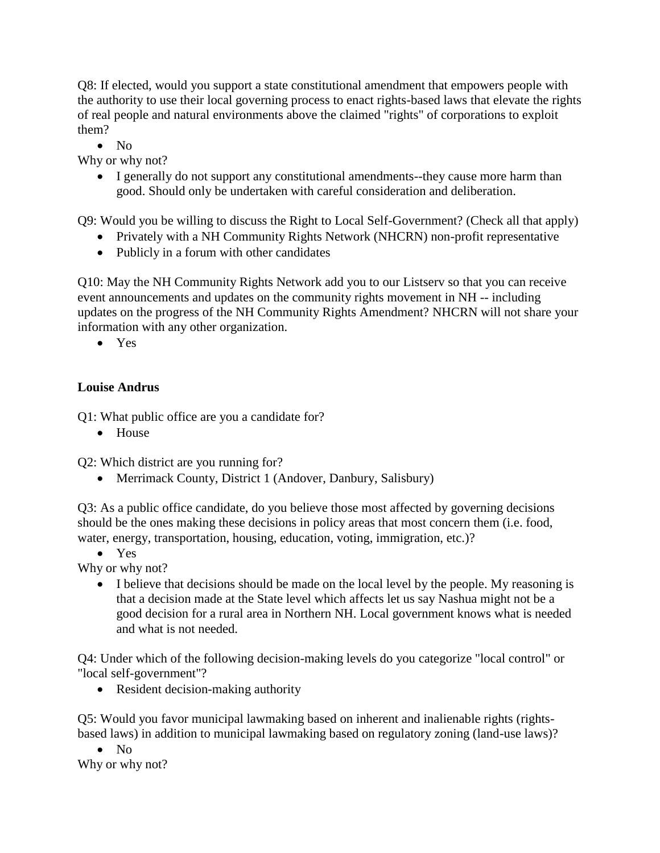Q8: If elected, would you support a state constitutional amendment that empowers people with the authority to use their local governing process to enact rights-based laws that elevate the rights of real people and natural environments above the claimed "rights" of corporations to exploit them?

• No

Why or why not?

• I generally do not support any constitutional amendments--they cause more harm than good. Should only be undertaken with careful consideration and deliberation.

Q9: Would you be willing to discuss the Right to Local Self-Government? (Check all that apply)

- Privately with a NH Community Rights Network (NHCRN) non-profit representative
- Publicly in a forum with other candidates

Q10: May the NH Community Rights Network add you to our Listserv so that you can receive event announcements and updates on the community rights movement in NH -- including updates on the progress of the NH Community Rights Amendment? NHCRN will not share your information with any other organization.

• Yes

#### **Louise Andrus**

Q1: What public office are you a candidate for?

• House

Q2: Which district are you running for?

• Merrimack County, District 1 (Andover, Danbury, Salisbury)

Q3: As a public office candidate, do you believe those most affected by governing decisions should be the ones making these decisions in policy areas that most concern them (i.e. food, water, energy, transportation, housing, education, voting, immigration, etc.)?

• Yes

Why or why not?

• I believe that decisions should be made on the local level by the people. My reasoning is that a decision made at the State level which affects let us say Nashua might not be a good decision for a rural area in Northern NH. Local government knows what is needed and what is not needed.

Q4: Under which of the following decision-making levels do you categorize "local control" or "local self-government"?

• Resident decision-making authority

Q5: Would you favor municipal lawmaking based on inherent and inalienable rights (rightsbased laws) in addition to municipal lawmaking based on regulatory zoning (land-use laws)?

• No Why or why not?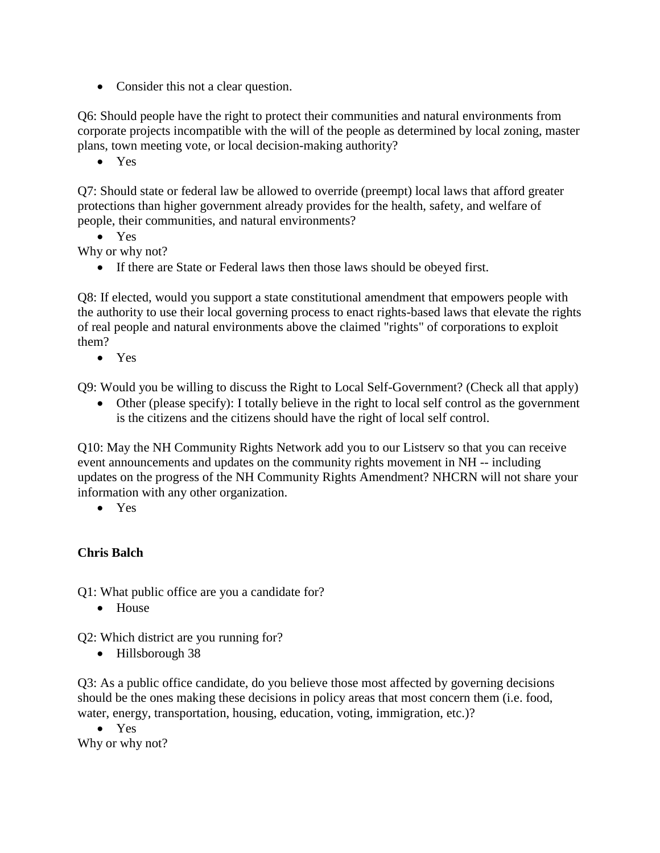• Consider this not a clear question.

Q6: Should people have the right to protect their communities and natural environments from corporate projects incompatible with the will of the people as determined by local zoning, master plans, town meeting vote, or local decision-making authority?

• Yes

Q7: Should state or federal law be allowed to override (preempt) local laws that afford greater protections than higher government already provides for the health, safety, and welfare of people, their communities, and natural environments?

• Yes

Why or why not?

• If there are State or Federal laws then those laws should be obeyed first.

Q8: If elected, would you support a state constitutional amendment that empowers people with the authority to use their local governing process to enact rights-based laws that elevate the rights of real people and natural environments above the claimed "rights" of corporations to exploit them?

• Yes

Q9: Would you be willing to discuss the Right to Local Self-Government? (Check all that apply)

• Other (please specify): I totally believe in the right to local self control as the government is the citizens and the citizens should have the right of local self control.

Q10: May the NH Community Rights Network add you to our Listserv so that you can receive event announcements and updates on the community rights movement in NH -- including updates on the progress of the NH Community Rights Amendment? NHCRN will not share your information with any other organization.

• Yes

## **Chris Balch**

Q1: What public office are you a candidate for?

• House

Q2: Which district are you running for?

• Hillsborough 38

Q3: As a public office candidate, do you believe those most affected by governing decisions should be the ones making these decisions in policy areas that most concern them (i.e. food, water, energy, transportation, housing, education, voting, immigration, etc.)?

• Yes Why or why not?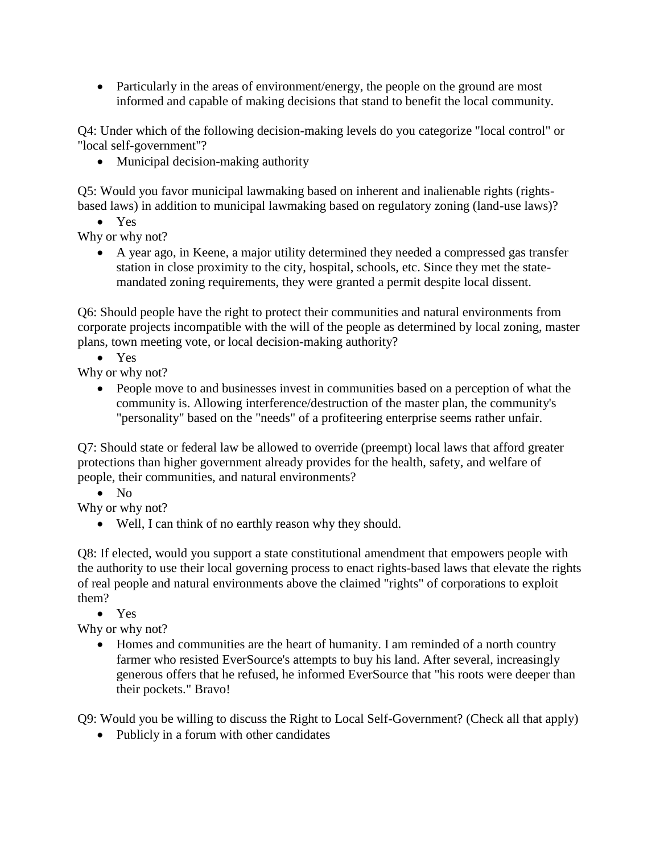• Particularly in the areas of environment/energy, the people on the ground are most informed and capable of making decisions that stand to benefit the local community.

Q4: Under which of the following decision-making levels do you categorize "local control" or "local self-government"?

• Municipal decision-making authority

Q5: Would you favor municipal lawmaking based on inherent and inalienable rights (rightsbased laws) in addition to municipal lawmaking based on regulatory zoning (land-use laws)?

• Yes

Why or why not?

• A year ago, in Keene, a major utility determined they needed a compressed gas transfer station in close proximity to the city, hospital, schools, etc. Since they met the statemandated zoning requirements, they were granted a permit despite local dissent.

Q6: Should people have the right to protect their communities and natural environments from corporate projects incompatible with the will of the people as determined by local zoning, master plans, town meeting vote, or local decision-making authority?

• Yes

Why or why not?

• People move to and businesses invest in communities based on a perception of what the community is. Allowing interference/destruction of the master plan, the community's "personality" based on the "needs" of a profiteering enterprise seems rather unfair.

Q7: Should state or federal law be allowed to override (preempt) local laws that afford greater protections than higher government already provides for the health, safety, and welfare of people, their communities, and natural environments?

• No

Why or why not?

• Well, I can think of no earthly reason why they should.

Q8: If elected, would you support a state constitutional amendment that empowers people with the authority to use their local governing process to enact rights-based laws that elevate the rights of real people and natural environments above the claimed "rights" of corporations to exploit them?

• Yes

Why or why not?

• Homes and communities are the heart of humanity. I am reminded of a north country farmer who resisted EverSource's attempts to buy his land. After several, increasingly generous offers that he refused, he informed EverSource that "his roots were deeper than their pockets." Bravo!

Q9: Would you be willing to discuss the Right to Local Self-Government? (Check all that apply)

• Publicly in a forum with other candidates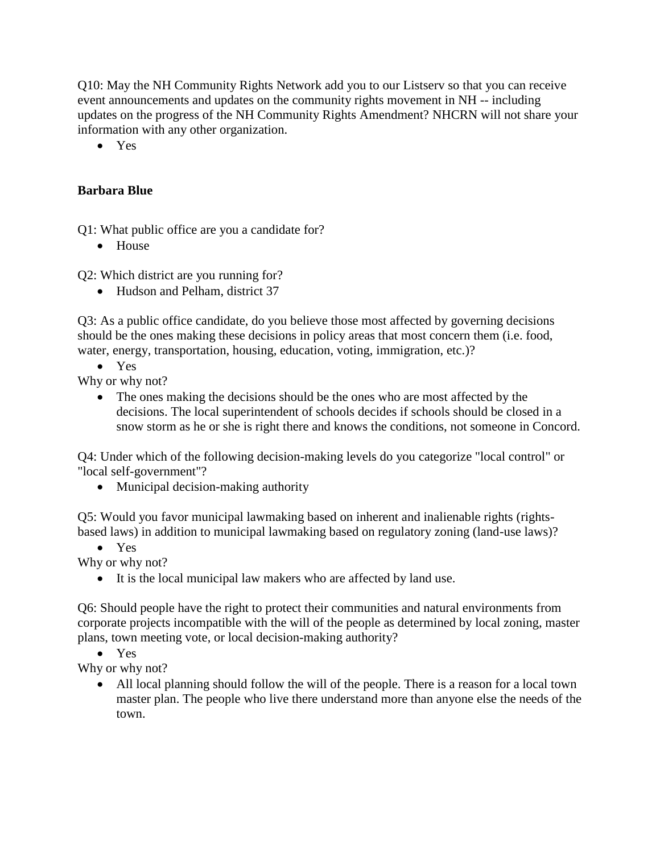Q10: May the NH Community Rights Network add you to our Listserv so that you can receive event announcements and updates on the community rights movement in NH -- including updates on the progress of the NH Community Rights Amendment? NHCRN will not share your information with any other organization.

• Yes

### **Barbara Blue**

Q1: What public office are you a candidate for?

• House

Q2: Which district are you running for?

• Hudson and Pelham, district 37

Q3: As a public office candidate, do you believe those most affected by governing decisions should be the ones making these decisions in policy areas that most concern them (i.e. food, water, energy, transportation, housing, education, voting, immigration, etc.)?

• Yes

Why or why not?

• The ones making the decisions should be the ones who are most affected by the decisions. The local superintendent of schools decides if schools should be closed in a snow storm as he or she is right there and knows the conditions, not someone in Concord.

Q4: Under which of the following decision-making levels do you categorize "local control" or "local self-government"?

• Municipal decision-making authority

Q5: Would you favor municipal lawmaking based on inherent and inalienable rights (rightsbased laws) in addition to municipal lawmaking based on regulatory zoning (land-use laws)?

• Yes

Why or why not?

• It is the local municipal law makers who are affected by land use.

Q6: Should people have the right to protect their communities and natural environments from corporate projects incompatible with the will of the people as determined by local zoning, master plans, town meeting vote, or local decision-making authority?

• Yes

Why or why not?

• All local planning should follow the will of the people. There is a reason for a local town master plan. The people who live there understand more than anyone else the needs of the town.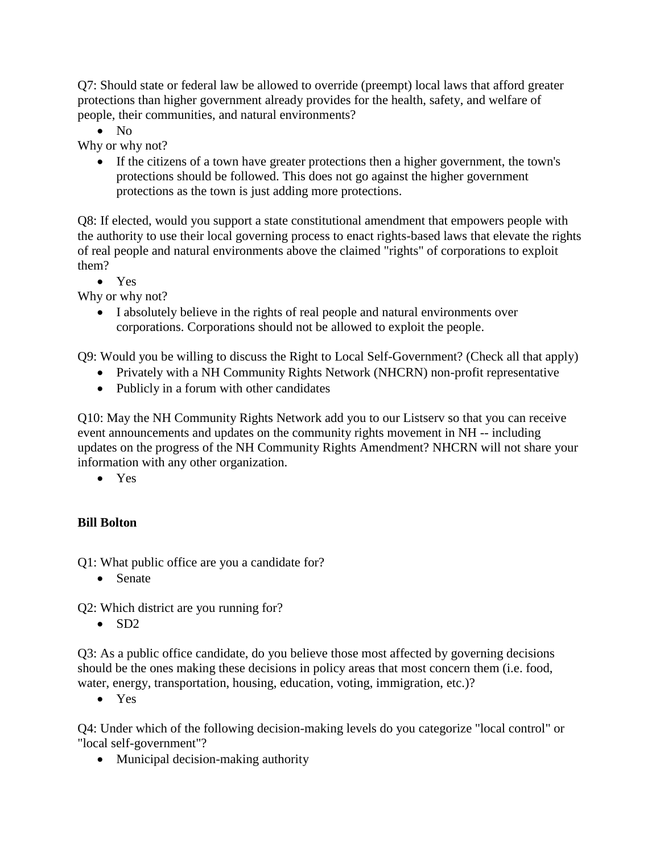Q7: Should state or federal law be allowed to override (preempt) local laws that afford greater protections than higher government already provides for the health, safety, and welfare of people, their communities, and natural environments?

• No

Why or why not?

• If the citizens of a town have greater protections then a higher government, the town's protections should be followed. This does not go against the higher government protections as the town is just adding more protections.

Q8: If elected, would you support a state constitutional amendment that empowers people with the authority to use their local governing process to enact rights-based laws that elevate the rights of real people and natural environments above the claimed "rights" of corporations to exploit them?

• Yes

Why or why not?

• I absolutely believe in the rights of real people and natural environments over corporations. Corporations should not be allowed to exploit the people.

Q9: Would you be willing to discuss the Right to Local Self-Government? (Check all that apply)

- Privately with a NH Community Rights Network (NHCRN) non-profit representative
- Publicly in a forum with other candidates

Q10: May the NH Community Rights Network add you to our Listserv so that you can receive event announcements and updates on the community rights movement in NH -- including updates on the progress of the NH Community Rights Amendment? NHCRN will not share your information with any other organization.

• Yes

## **Bill Bolton**

Q1: What public office are you a candidate for?

• Senate

Q2: Which district are you running for?

• SD2

Q3: As a public office candidate, do you believe those most affected by governing decisions should be the ones making these decisions in policy areas that most concern them (i.e. food, water, energy, transportation, housing, education, voting, immigration, etc.)?

• Yes

Q4: Under which of the following decision-making levels do you categorize "local control" or "local self-government"?

• Municipal decision-making authority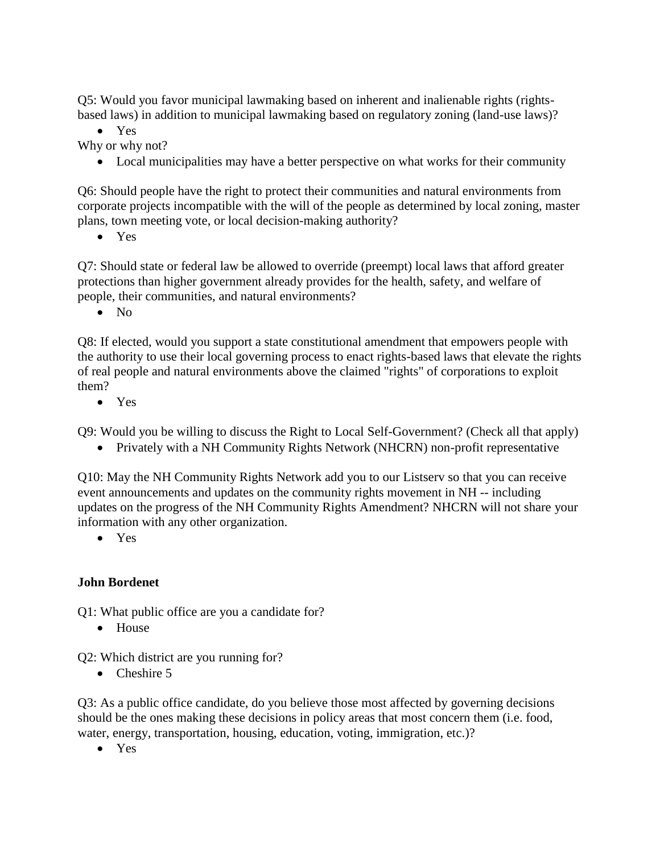Q5: Would you favor municipal lawmaking based on inherent and inalienable rights (rightsbased laws) in addition to municipal lawmaking based on regulatory zoning (land-use laws)?

• Yes

Why or why not?

• Local municipalities may have a better perspective on what works for their community

Q6: Should people have the right to protect their communities and natural environments from corporate projects incompatible with the will of the people as determined by local zoning, master plans, town meeting vote, or local decision-making authority?

• Yes

Q7: Should state or federal law be allowed to override (preempt) local laws that afford greater protections than higher government already provides for the health, safety, and welfare of people, their communities, and natural environments?

• No

Q8: If elected, would you support a state constitutional amendment that empowers people with the authority to use their local governing process to enact rights-based laws that elevate the rights of real people and natural environments above the claimed "rights" of corporations to exploit them?

• Yes

Q9: Would you be willing to discuss the Right to Local Self-Government? (Check all that apply)

• Privately with a NH Community Rights Network (NHCRN) non-profit representative

Q10: May the NH Community Rights Network add you to our Listserv so that you can receive event announcements and updates on the community rights movement in NH -- including updates on the progress of the NH Community Rights Amendment? NHCRN will not share your information with any other organization.

• Yes

## **John Bordenet**

Q1: What public office are you a candidate for?

• House

Q2: Which district are you running for?

• Cheshire 5

Q3: As a public office candidate, do you believe those most affected by governing decisions should be the ones making these decisions in policy areas that most concern them (i.e. food, water, energy, transportation, housing, education, voting, immigration, etc.)?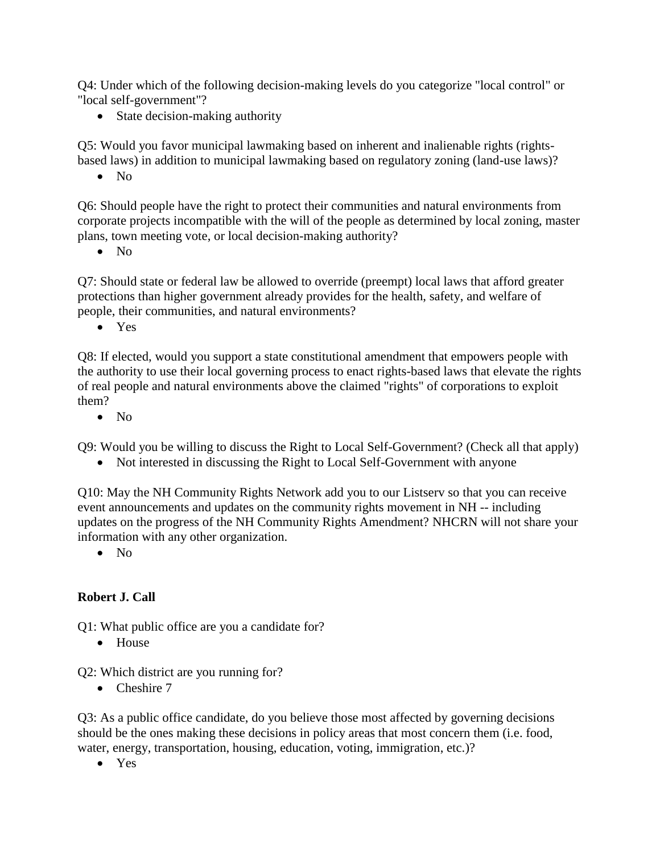Q4: Under which of the following decision-making levels do you categorize "local control" or "local self-government"?

• State decision-making authority

Q5: Would you favor municipal lawmaking based on inherent and inalienable rights (rightsbased laws) in addition to municipal lawmaking based on regulatory zoning (land-use laws)?

• No

Q6: Should people have the right to protect their communities and natural environments from corporate projects incompatible with the will of the people as determined by local zoning, master plans, town meeting vote, or local decision-making authority?

• No

Q7: Should state or federal law be allowed to override (preempt) local laws that afford greater protections than higher government already provides for the health, safety, and welfare of people, their communities, and natural environments?

• Yes

Q8: If elected, would you support a state constitutional amendment that empowers people with the authority to use their local governing process to enact rights-based laws that elevate the rights of real people and natural environments above the claimed "rights" of corporations to exploit them?

 $\bullet$  No

Q9: Would you be willing to discuss the Right to Local Self-Government? (Check all that apply)

• Not interested in discussing the Right to Local Self-Government with anyone

Q10: May the NH Community Rights Network add you to our Listserv so that you can receive event announcements and updates on the community rights movement in NH -- including updates on the progress of the NH Community Rights Amendment? NHCRN will not share your information with any other organization.

 $\bullet$  No

#### **Robert J. Call**

Q1: What public office are you a candidate for?

• House

Q2: Which district are you running for?

• Cheshire 7

Q3: As a public office candidate, do you believe those most affected by governing decisions should be the ones making these decisions in policy areas that most concern them (i.e. food, water, energy, transportation, housing, education, voting, immigration, etc.)?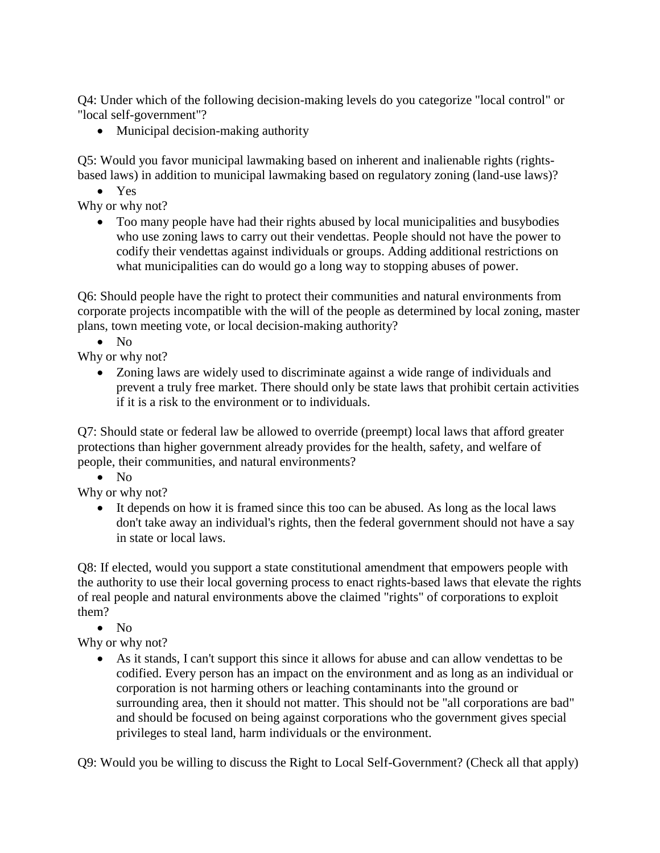Q4: Under which of the following decision-making levels do you categorize "local control" or "local self-government"?

• Municipal decision-making authority

Q5: Would you favor municipal lawmaking based on inherent and inalienable rights (rightsbased laws) in addition to municipal lawmaking based on regulatory zoning (land-use laws)?

• Yes

Why or why not?

• Too many people have had their rights abused by local municipalities and busybodies who use zoning laws to carry out their vendettas. People should not have the power to codify their vendettas against individuals or groups. Adding additional restrictions on what municipalities can do would go a long way to stopping abuses of power.

Q6: Should people have the right to protect their communities and natural environments from corporate projects incompatible with the will of the people as determined by local zoning, master plans, town meeting vote, or local decision-making authority?

 $\bullet$  No

Why or why not?

• Zoning laws are widely used to discriminate against a wide range of individuals and prevent a truly free market. There should only be state laws that prohibit certain activities if it is a risk to the environment or to individuals.

Q7: Should state or federal law be allowed to override (preempt) local laws that afford greater protections than higher government already provides for the health, safety, and welfare of people, their communities, and natural environments?

 $\bullet$  No

Why or why not?

• It depends on how it is framed since this too can be abused. As long as the local laws don't take away an individual's rights, then the federal government should not have a say in state or local laws.

Q8: If elected, would you support a state constitutional amendment that empowers people with the authority to use their local governing process to enact rights-based laws that elevate the rights of real people and natural environments above the claimed "rights" of corporations to exploit them?

• No

Why or why not?

• As it stands, I can't support this since it allows for abuse and can allow vendettas to be codified. Every person has an impact on the environment and as long as an individual or corporation is not harming others or leaching contaminants into the ground or surrounding area, then it should not matter. This should not be "all corporations are bad" and should be focused on being against corporations who the government gives special privileges to steal land, harm individuals or the environment.

Q9: Would you be willing to discuss the Right to Local Self-Government? (Check all that apply)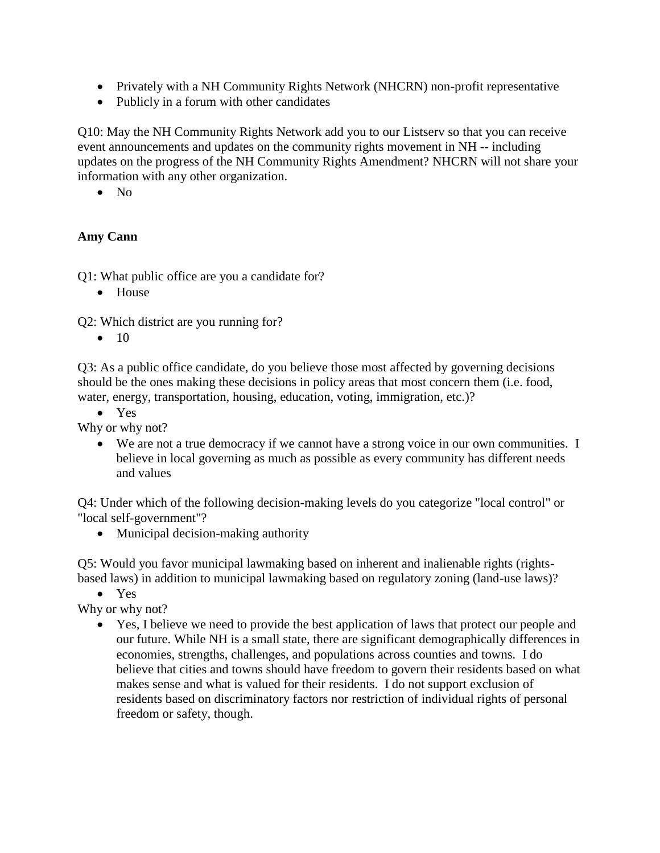- Privately with a NH Community Rights Network (NHCRN) non-profit representative
- Publicly in a forum with other candidates

Q10: May the NH Community Rights Network add you to our Listserv so that you can receive event announcements and updates on the community rights movement in NH -- including updates on the progress of the NH Community Rights Amendment? NHCRN will not share your information with any other organization.

• No

#### **Amy Cann**

Q1: What public office are you a candidate for?

• House

Q2: Which district are you running for?

 $\bullet$  10

Q3: As a public office candidate, do you believe those most affected by governing decisions should be the ones making these decisions in policy areas that most concern them (i.e. food, water, energy, transportation, housing, education, voting, immigration, etc.)?

• Yes

Why or why not?

• We are not a true democracy if we cannot have a strong voice in our own communities. I believe in local governing as much as possible as every community has different needs and values

Q4: Under which of the following decision-making levels do you categorize "local control" or "local self-government"?

• Municipal decision-making authority

Q5: Would you favor municipal lawmaking based on inherent and inalienable rights (rightsbased laws) in addition to municipal lawmaking based on regulatory zoning (land-use laws)?

• Yes

Why or why not?

• Yes, I believe we need to provide the best application of laws that protect our people and our future. While NH is a small state, there are significant demographically differences in economies, strengths, challenges, and populations across counties and towns. I do believe that cities and towns should have freedom to govern their residents based on what makes sense and what is valued for their residents. I do not support exclusion of residents based on discriminatory factors nor restriction of individual rights of personal freedom or safety, though.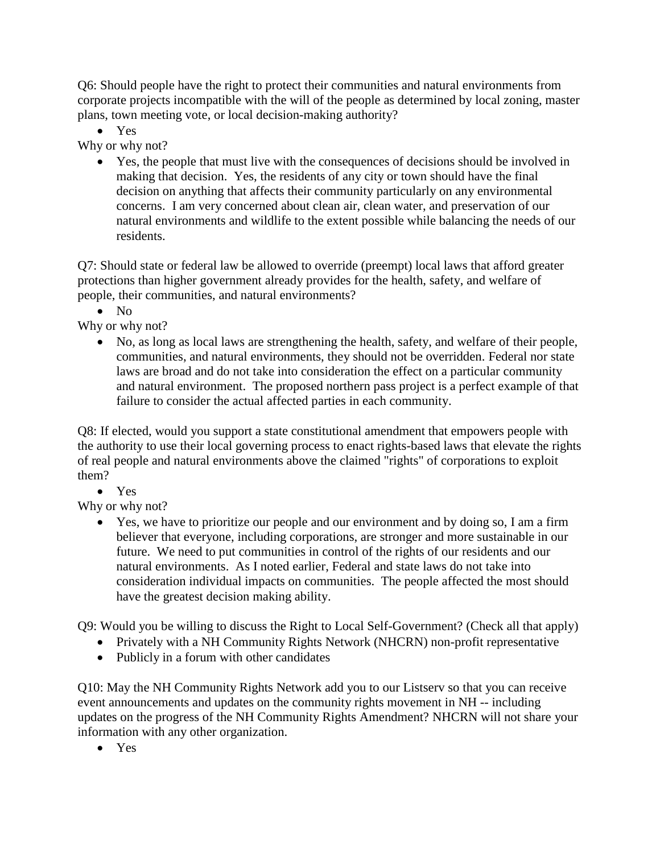Q6: Should people have the right to protect their communities and natural environments from corporate projects incompatible with the will of the people as determined by local zoning, master plans, town meeting vote, or local decision-making authority?

• Yes

Why or why not?

• Yes, the people that must live with the consequences of decisions should be involved in making that decision. Yes, the residents of any city or town should have the final decision on anything that affects their community particularly on any environmental concerns. I am very concerned about clean air, clean water, and preservation of our natural environments and wildlife to the extent possible while balancing the needs of our residents.

Q7: Should state or federal law be allowed to override (preempt) local laws that afford greater protections than higher government already provides for the health, safety, and welfare of people, their communities, and natural environments?

 $\bullet$  No

Why or why not?

• No, as long as local laws are strengthening the health, safety, and welfare of their people, communities, and natural environments, they should not be overridden. Federal nor state laws are broad and do not take into consideration the effect on a particular community and natural environment. The proposed northern pass project is a perfect example of that failure to consider the actual affected parties in each community.

Q8: If elected, would you support a state constitutional amendment that empowers people with the authority to use their local governing process to enact rights-based laws that elevate the rights of real people and natural environments above the claimed "rights" of corporations to exploit them?

• Yes

Why or why not?

• Yes, we have to prioritize our people and our environment and by doing so, I am a firm believer that everyone, including corporations, are stronger and more sustainable in our future. We need to put communities in control of the rights of our residents and our natural environments. As I noted earlier, Federal and state laws do not take into consideration individual impacts on communities. The people affected the most should have the greatest decision making ability.

Q9: Would you be willing to discuss the Right to Local Self-Government? (Check all that apply)

- Privately with a NH Community Rights Network (NHCRN) non-profit representative
- Publicly in a forum with other candidates

Q10: May the NH Community Rights Network add you to our Listserv so that you can receive event announcements and updates on the community rights movement in NH -- including updates on the progress of the NH Community Rights Amendment? NHCRN will not share your information with any other organization.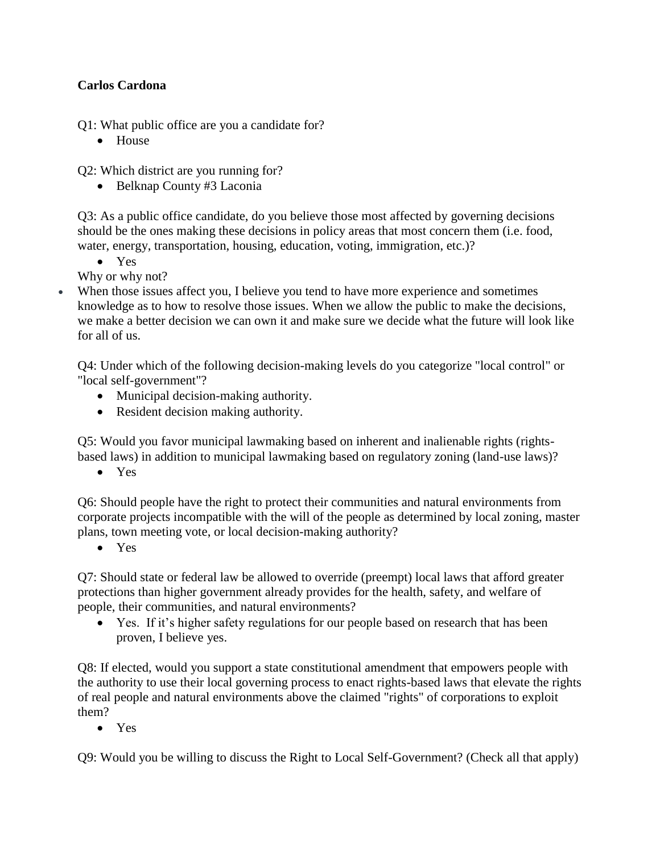## **Carlos Cardona**

Q1: What public office are you a candidate for?

• House

Q2: Which district are you running for?

• Belknap County #3 Laconia

Q3: As a public office candidate, do you believe those most affected by governing decisions should be the ones making these decisions in policy areas that most concern them (i.e. food, water, energy, transportation, housing, education, voting, immigration, etc.)?

• Yes

Why or why not?

• When those issues affect you, I believe you tend to have more experience and sometimes knowledge as to how to resolve those issues. When we allow the public to make the decisions, we make a better decision we can own it and make sure we decide what the future will look like for all of us.

Q4: Under which of the following decision-making levels do you categorize "local control" or "local self-government"?

- Municipal decision-making authority.
- Resident decision making authority.

Q5: Would you favor municipal lawmaking based on inherent and inalienable rights (rightsbased laws) in addition to municipal lawmaking based on regulatory zoning (land-use laws)?

• Yes

Q6: Should people have the right to protect their communities and natural environments from corporate projects incompatible with the will of the people as determined by local zoning, master plans, town meeting vote, or local decision-making authority?

• Yes

Q7: Should state or federal law be allowed to override (preempt) local laws that afford greater protections than higher government already provides for the health, safety, and welfare of people, their communities, and natural environments?

• Yes. If it's higher safety regulations for our people based on research that has been proven, I believe yes.

Q8: If elected, would you support a state constitutional amendment that empowers people with the authority to use their local governing process to enact rights-based laws that elevate the rights of real people and natural environments above the claimed "rights" of corporations to exploit them?

• Yes

Q9: Would you be willing to discuss the Right to Local Self-Government? (Check all that apply)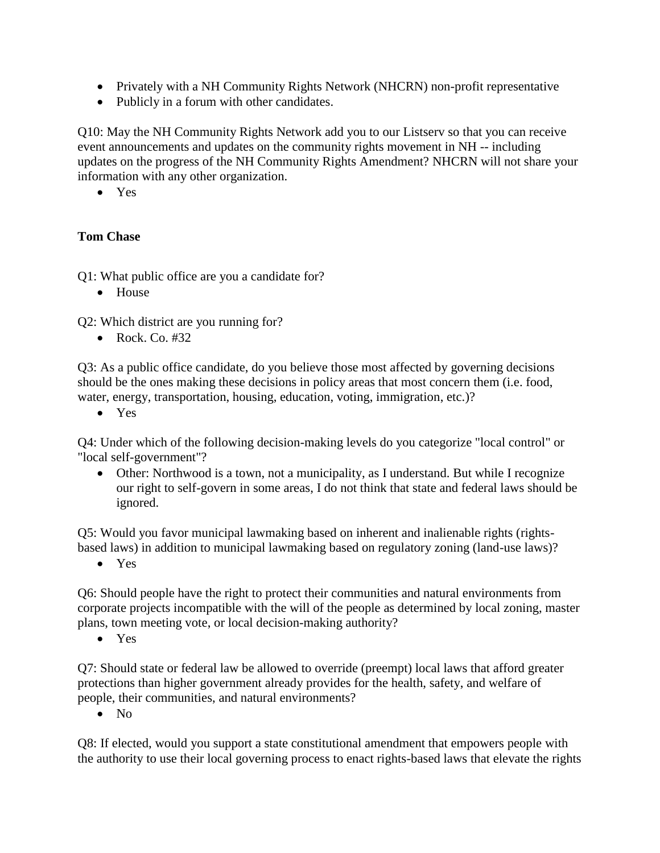- Privately with a NH Community Rights Network (NHCRN) non-profit representative
- Publicly in a forum with other candidates.

Q10: May the NH Community Rights Network add you to our Listserv so that you can receive event announcements and updates on the community rights movement in NH -- including updates on the progress of the NH Community Rights Amendment? NHCRN will not share your information with any other organization.

• Yes

#### **Tom Chase**

Q1: What public office are you a candidate for?

• House

Q2: Which district are you running for?

• Rock. Co.  $#32$ 

Q3: As a public office candidate, do you believe those most affected by governing decisions should be the ones making these decisions in policy areas that most concern them (i.e. food, water, energy, transportation, housing, education, voting, immigration, etc.)?

• Yes

Q4: Under which of the following decision-making levels do you categorize "local control" or "local self-government"?

• Other: Northwood is a town, not a municipality, as I understand. But while I recognize our right to self-govern in some areas, I do not think that state and federal laws should be ignored.

Q5: Would you favor municipal lawmaking based on inherent and inalienable rights (rightsbased laws) in addition to municipal lawmaking based on regulatory zoning (land-use laws)?

• Yes

Q6: Should people have the right to protect their communities and natural environments from corporate projects incompatible with the will of the people as determined by local zoning, master plans, town meeting vote, or local decision-making authority?

• Yes

Q7: Should state or federal law be allowed to override (preempt) local laws that afford greater protections than higher government already provides for the health, safety, and welfare of people, their communities, and natural environments?

• No

Q8: If elected, would you support a state constitutional amendment that empowers people with the authority to use their local governing process to enact rights-based laws that elevate the rights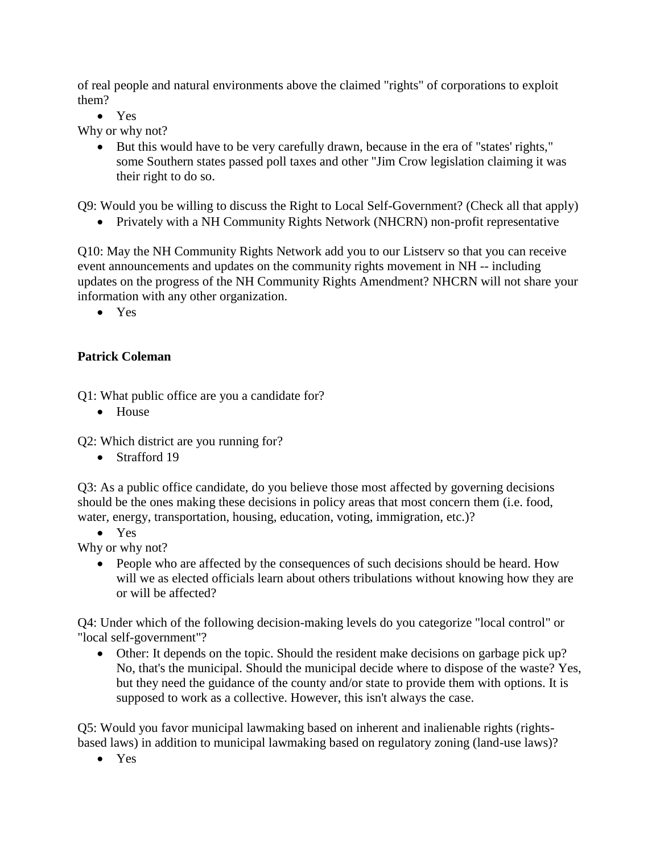of real people and natural environments above the claimed "rights" of corporations to exploit them?

• Yes

Why or why not?

• But this would have to be very carefully drawn, because in the era of "states' rights," some Southern states passed poll taxes and other "Jim Crow legislation claiming it was their right to do so.

Q9: Would you be willing to discuss the Right to Local Self-Government? (Check all that apply)

• Privately with a NH Community Rights Network (NHCRN) non-profit representative

Q10: May the NH Community Rights Network add you to our Listserv so that you can receive event announcements and updates on the community rights movement in NH -- including updates on the progress of the NH Community Rights Amendment? NHCRN will not share your information with any other organization.

• Yes

#### **Patrick Coleman**

Q1: What public office are you a candidate for?

• House

Q2: Which district are you running for?

• Strafford 19

Q3: As a public office candidate, do you believe those most affected by governing decisions should be the ones making these decisions in policy areas that most concern them (i.e. food, water, energy, transportation, housing, education, voting, immigration, etc.)?

• Yes

Why or why not?

• People who are affected by the consequences of such decisions should be heard. How will we as elected officials learn about others tribulations without knowing how they are or will be affected?

Q4: Under which of the following decision-making levels do you categorize "local control" or "local self-government"?

• Other: It depends on the topic. Should the resident make decisions on garbage pick up? No, that's the municipal. Should the municipal decide where to dispose of the waste? Yes, but they need the guidance of the county and/or state to provide them with options. It is supposed to work as a collective. However, this isn't always the case.

Q5: Would you favor municipal lawmaking based on inherent and inalienable rights (rightsbased laws) in addition to municipal lawmaking based on regulatory zoning (land-use laws)?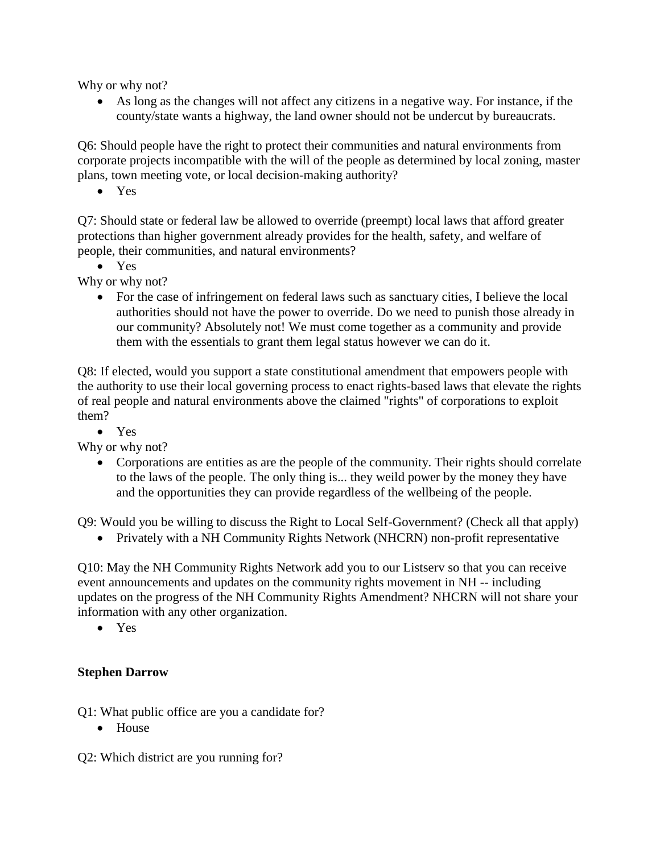Why or why not?

• As long as the changes will not affect any citizens in a negative way. For instance, if the county/state wants a highway, the land owner should not be undercut by bureaucrats.

Q6: Should people have the right to protect their communities and natural environments from corporate projects incompatible with the will of the people as determined by local zoning, master plans, town meeting vote, or local decision-making authority?

• Yes

Q7: Should state or federal law be allowed to override (preempt) local laws that afford greater protections than higher government already provides for the health, safety, and welfare of people, their communities, and natural environments?

• Yes

Why or why not?

• For the case of infringement on federal laws such as sanctuary cities, I believe the local authorities should not have the power to override. Do we need to punish those already in our community? Absolutely not! We must come together as a community and provide them with the essentials to grant them legal status however we can do it.

Q8: If elected, would you support a state constitutional amendment that empowers people with the authority to use their local governing process to enact rights-based laws that elevate the rights of real people and natural environments above the claimed "rights" of corporations to exploit them?

• Yes

Why or why not?

• Corporations are entities as are the people of the community. Their rights should correlate to the laws of the people. The only thing is... they weild power by the money they have and the opportunities they can provide regardless of the wellbeing of the people.

Q9: Would you be willing to discuss the Right to Local Self-Government? (Check all that apply)

• Privately with a NH Community Rights Network (NHCRN) non-profit representative

Q10: May the NH Community Rights Network add you to our Listserv so that you can receive event announcements and updates on the community rights movement in NH -- including updates on the progress of the NH Community Rights Amendment? NHCRN will not share your information with any other organization.

• Yes

#### **Stephen Darrow**

Q1: What public office are you a candidate for?

• House

Q2: Which district are you running for?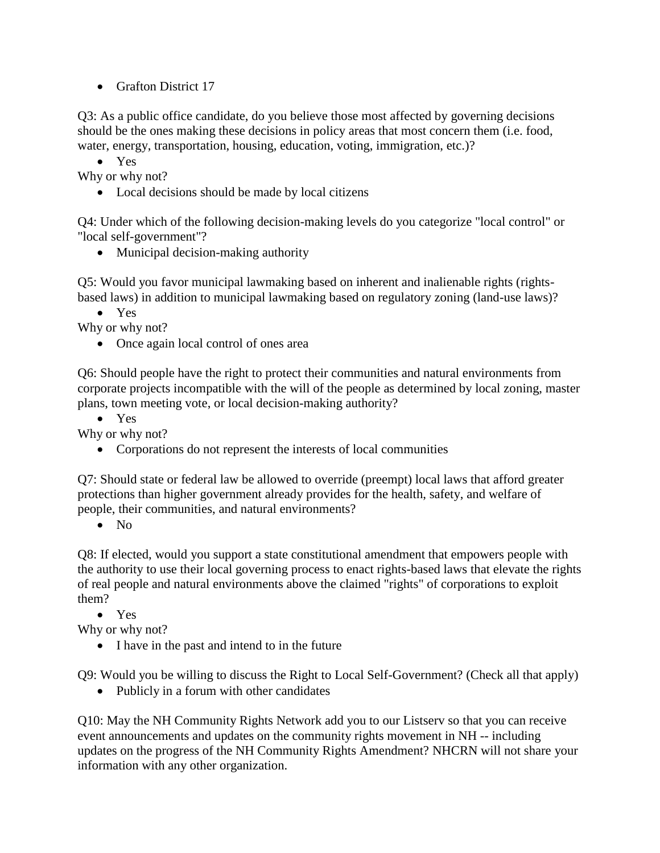• Grafton District 17

Q3: As a public office candidate, do you believe those most affected by governing decisions should be the ones making these decisions in policy areas that most concern them (i.e. food, water, energy, transportation, housing, education, voting, immigration, etc.)?

• Yes

Why or why not?

• Local decisions should be made by local citizens

Q4: Under which of the following decision-making levels do you categorize "local control" or "local self-government"?

• Municipal decision-making authority

Q5: Would you favor municipal lawmaking based on inherent and inalienable rights (rightsbased laws) in addition to municipal lawmaking based on regulatory zoning (land-use laws)?

• Yes

Why or why not?

• Once again local control of ones area

Q6: Should people have the right to protect their communities and natural environments from corporate projects incompatible with the will of the people as determined by local zoning, master plans, town meeting vote, or local decision-making authority?

• Yes

Why or why not?

• Corporations do not represent the interests of local communities

Q7: Should state or federal law be allowed to override (preempt) local laws that afford greater protections than higher government already provides for the health, safety, and welfare of people, their communities, and natural environments?

• No

Q8: If elected, would you support a state constitutional amendment that empowers people with the authority to use their local governing process to enact rights-based laws that elevate the rights of real people and natural environments above the claimed "rights" of corporations to exploit them?

• Yes

Why or why not?

• I have in the past and intend to in the future

Q9: Would you be willing to discuss the Right to Local Self-Government? (Check all that apply)

• Publicly in a forum with other candidates

Q10: May the NH Community Rights Network add you to our Listserv so that you can receive event announcements and updates on the community rights movement in NH -- including updates on the progress of the NH Community Rights Amendment? NHCRN will not share your information with any other organization.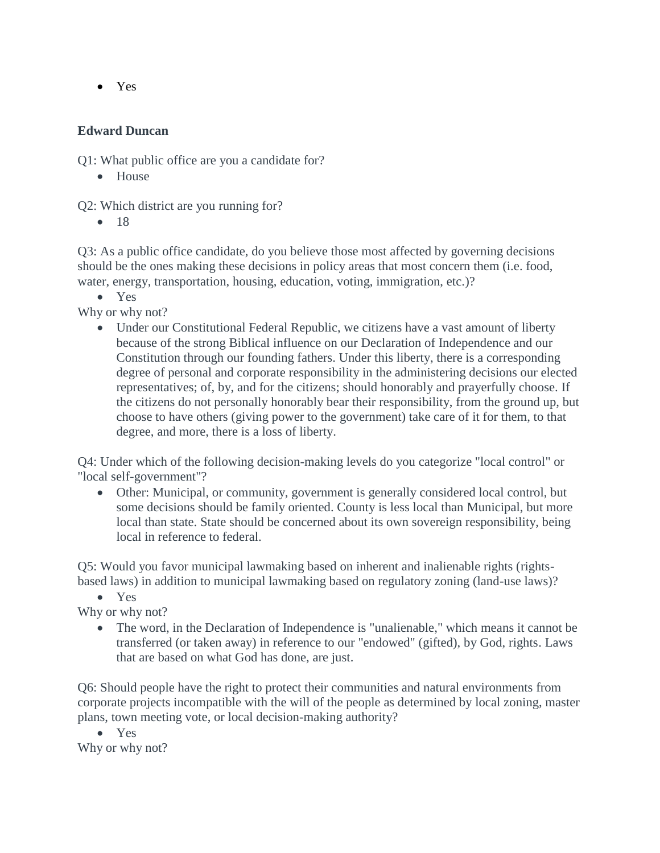• Yes

#### **Edward Duncan**

Q1: What public office are you a candidate for?

• House

Q2: Which district are you running for?

• 18

Q3: As a public office candidate, do you believe those most affected by governing decisions should be the ones making these decisions in policy areas that most concern them (i.e. food, water, energy, transportation, housing, education, voting, immigration, etc.)?

• Yes

Why or why not?

• Under our Constitutional Federal Republic, we citizens have a vast amount of liberty because of the strong Biblical influence on our Declaration of Independence and our Constitution through our founding fathers. Under this liberty, there is a corresponding degree of personal and corporate responsibility in the administering decisions our elected representatives; of, by, and for the citizens; should honorably and prayerfully choose. If the citizens do not personally honorably bear their responsibility, from the ground up, but choose to have others (giving power to the government) take care of it for them, to that degree, and more, there is a loss of liberty.

Q4: Under which of the following decision-making levels do you categorize "local control" or "local self-government"?

• Other: Municipal, or community, government is generally considered local control, but some decisions should be family oriented. County is less local than Municipal, but more local than state. State should be concerned about its own sovereign responsibility, being local in reference to federal.

Q5: Would you favor municipal lawmaking based on inherent and inalienable rights (rightsbased laws) in addition to municipal lawmaking based on regulatory zoning (land-use laws)?

• Yes

Why or why not?

• The word, in the Declaration of Independence is "unalienable," which means it cannot be transferred (or taken away) in reference to our "endowed" (gifted), by God, rights. Laws that are based on what God has done, are just.

Q6: Should people have the right to protect their communities and natural environments from corporate projects incompatible with the will of the people as determined by local zoning, master plans, town meeting vote, or local decision-making authority?

• Yes Why or why not?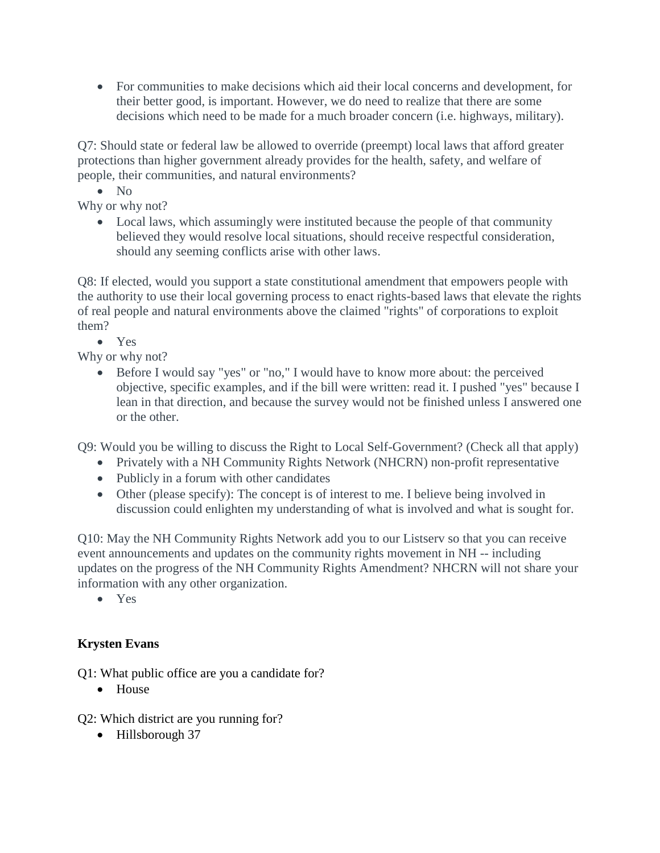• For communities to make decisions which aid their local concerns and development, for their better good, is important. However, we do need to realize that there are some decisions which need to be made for a much broader concern (i.e. highways, military).

Q7: Should state or federal law be allowed to override (preempt) local laws that afford greater protections than higher government already provides for the health, safety, and welfare of people, their communities, and natural environments?

• No

Why or why not?

• Local laws, which assumingly were instituted because the people of that community believed they would resolve local situations, should receive respectful consideration, should any seeming conflicts arise with other laws.

Q8: If elected, would you support a state constitutional amendment that empowers people with the authority to use their local governing process to enact rights-based laws that elevate the rights of real people and natural environments above the claimed "rights" of corporations to exploit them?

• Yes

Why or why not?

• Before I would say "yes" or "no," I would have to know more about: the perceived objective, specific examples, and if the bill were written: read it. I pushed "yes" because I lean in that direction, and because the survey would not be finished unless I answered one or the other.

Q9: Would you be willing to discuss the Right to Local Self-Government? (Check all that apply)

- Privately with a NH Community Rights Network (NHCRN) non-profit representative
- Publicly in a forum with other candidates
- Other (please specify): The concept is of interest to me. I believe being involved in discussion could enlighten my understanding of what is involved and what is sought for.

Q10: May the NH Community Rights Network add you to our Listserv so that you can receive event announcements and updates on the community rights movement in NH -- including updates on the progress of the NH Community Rights Amendment? NHCRN will not share your information with any other organization.

• Yes

# **Krysten Evans**

Q1: What public office are you a candidate for?

• House

Q2: Which district are you running for?

• Hillsborough 37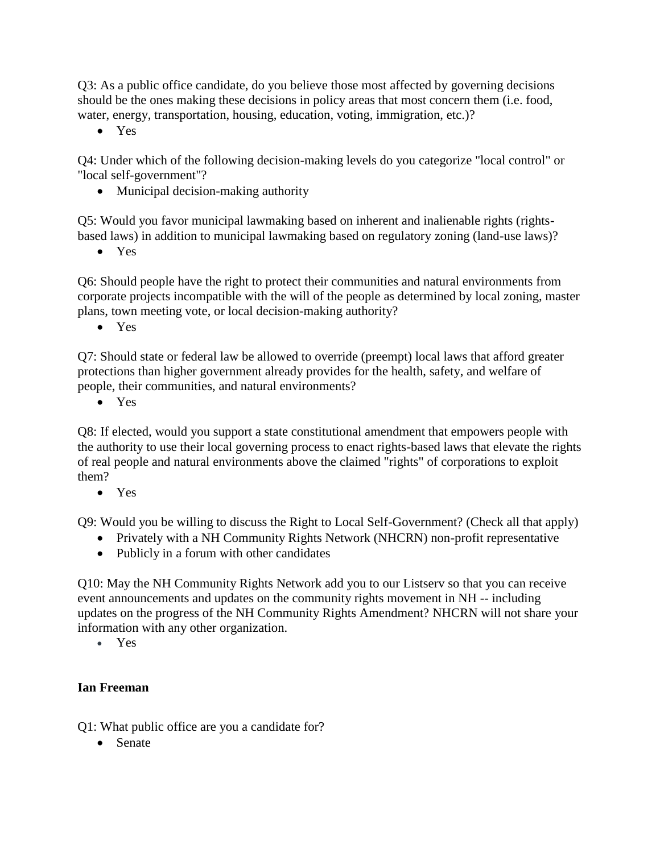Q3: As a public office candidate, do you believe those most affected by governing decisions should be the ones making these decisions in policy areas that most concern them (i.e. food, water, energy, transportation, housing, education, voting, immigration, etc.)?

• Yes

Q4: Under which of the following decision-making levels do you categorize "local control" or "local self-government"?

• Municipal decision-making authority

Q5: Would you favor municipal lawmaking based on inherent and inalienable rights (rightsbased laws) in addition to municipal lawmaking based on regulatory zoning (land-use laws)?

• Yes

Q6: Should people have the right to protect their communities and natural environments from corporate projects incompatible with the will of the people as determined by local zoning, master plans, town meeting vote, or local decision-making authority?

• Yes

Q7: Should state or federal law be allowed to override (preempt) local laws that afford greater protections than higher government already provides for the health, safety, and welfare of people, their communities, and natural environments?

• Yes

Q8: If elected, would you support a state constitutional amendment that empowers people with the authority to use their local governing process to enact rights-based laws that elevate the rights of real people and natural environments above the claimed "rights" of corporations to exploit them?

• Yes

Q9: Would you be willing to discuss the Right to Local Self-Government? (Check all that apply)

- Privately with a NH Community Rights Network (NHCRN) non-profit representative
- Publicly in a forum with other candidates

Q10: May the NH Community Rights Network add you to our Listserv so that you can receive event announcements and updates on the community rights movement in NH -- including updates on the progress of the NH Community Rights Amendment? NHCRN will not share your information with any other organization.

• Yes

## **Ian Freeman**

Q1: What public office are you a candidate for?

• Senate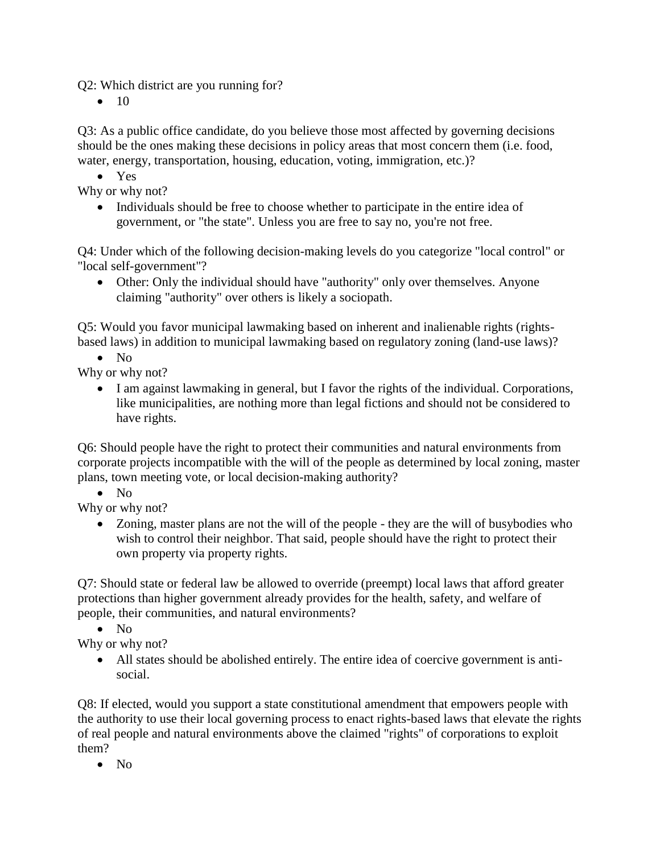Q2: Which district are you running for?

 $\bullet$  10

Q3: As a public office candidate, do you believe those most affected by governing decisions should be the ones making these decisions in policy areas that most concern them (i.e. food, water, energy, transportation, housing, education, voting, immigration, etc.)?

• Yes

Why or why not?

• Individuals should be free to choose whether to participate in the entire idea of government, or "the state". Unless you are free to say no, you're not free.

Q4: Under which of the following decision-making levels do you categorize "local control" or "local self-government"?

• Other: Only the individual should have "authority" only over themselves. Anyone claiming "authority" over others is likely a sociopath.

Q5: Would you favor municipal lawmaking based on inherent and inalienable rights (rightsbased laws) in addition to municipal lawmaking based on regulatory zoning (land-use laws)?

 $\bullet$  No

Why or why not?

• I am against lawmaking in general, but I favor the rights of the individual. Corporations, like municipalities, are nothing more than legal fictions and should not be considered to have rights.

Q6: Should people have the right to protect their communities and natural environments from corporate projects incompatible with the will of the people as determined by local zoning, master plans, town meeting vote, or local decision-making authority?

• No

Why or why not?

• Zoning, master plans are not the will of the people - they are the will of busybodies who wish to control their neighbor. That said, people should have the right to protect their own property via property rights.

Q7: Should state or federal law be allowed to override (preempt) local laws that afford greater protections than higher government already provides for the health, safety, and welfare of people, their communities, and natural environments?

• No

Why or why not?

• All states should be abolished entirely. The entire idea of coercive government is antisocial.

Q8: If elected, would you support a state constitutional amendment that empowers people with the authority to use their local governing process to enact rights-based laws that elevate the rights of real people and natural environments above the claimed "rights" of corporations to exploit them?

• No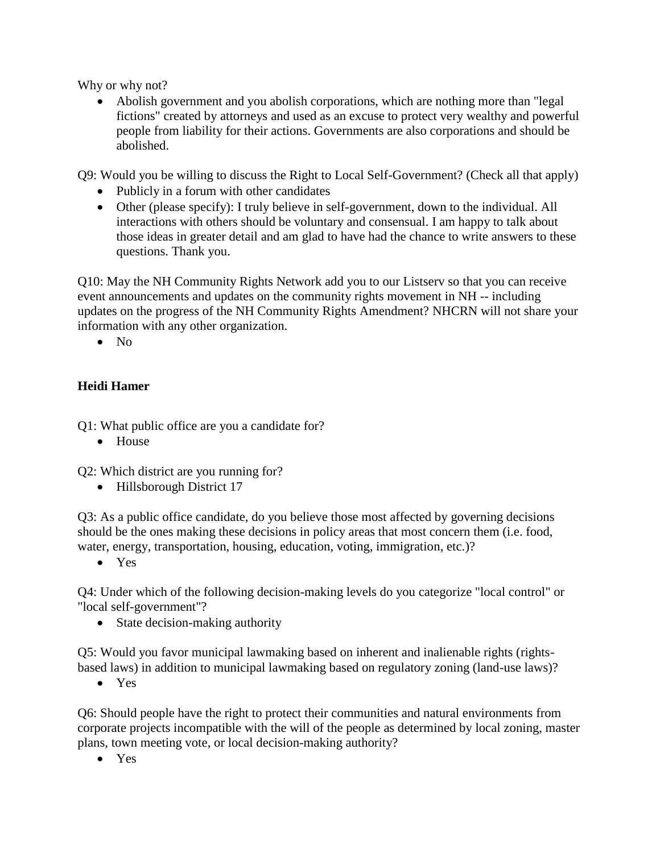Why or why not?

• Abolish government and you abolish corporations, which are nothing more than "legal" fictions" created by attorneys and used as an excuse to protect very wealthy and powerful people from liability for their actions. Governments are also corporations and should be abolished.

Q9: Would you be willing to discuss the Right to Local Self-Government? (Check all that apply)

- Publicly in a forum with other candidates
- Other (please specify): I truly believe in self-government, down to the individual. All interactions with others should be voluntary and consensual. I am happy to talk about those ideas in greater detail and am glad to have had the chance to write answers to these questions. Thank you.

Q10: May the NH Community Rights Network add you to our Listserv so that you can receive event announcements and updates on the community rights movement in NH -- including updates on the progress of the NH Community Rights Amendment? NHCRN will not share your information with any other organization.

• No

# **Heidi Hamer**

Q1: What public office are you a candidate for?

• House

Q2: Which district are you running for?

• Hillsborough District 17

Q3: As a public office candidate, do you believe those most affected by governing decisions should be the ones making these decisions in policy areas that most concern them (i.e. food, water, energy, transportation, housing, education, voting, immigration, etc.)?

• Yes

Q4: Under which of the following decision-making levels do you categorize "local control" or "local self-government"?

• State decision-making authority

Q5: Would you favor municipal lawmaking based on inherent and inalienable rights (rightsbased laws) in addition to municipal lawmaking based on regulatory zoning (land-use laws)?

• Yes

Q6: Should people have the right to protect their communities and natural environments from corporate projects incompatible with the will of the people as determined by local zoning, master plans, town meeting vote, or local decision-making authority?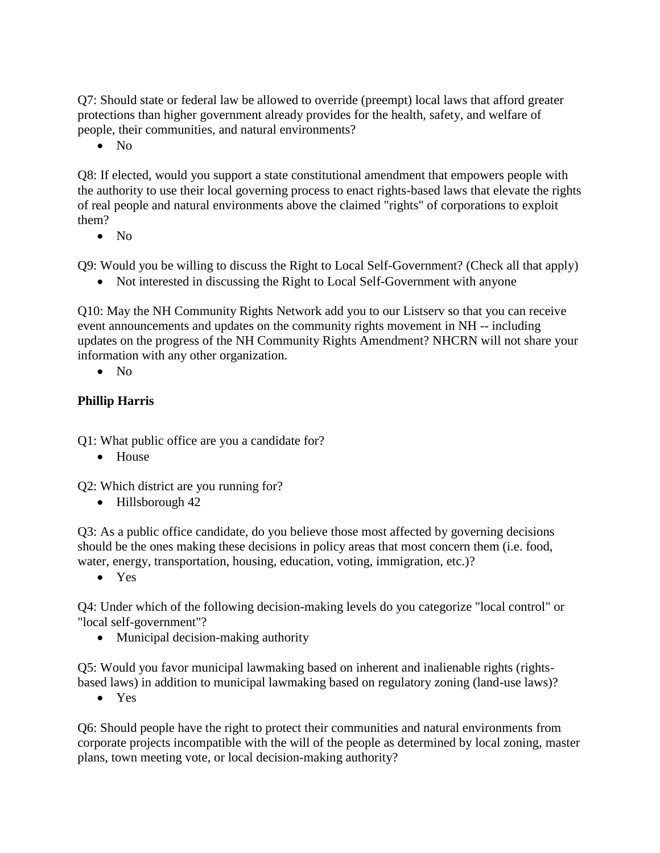Q7: Should state or federal law be allowed to override (preempt) local laws that afford greater protections than higher government already provides for the health, safety, and welfare of people, their communities, and natural environments?

• No

Q8: If elected, would you support a state constitutional amendment that empowers people with the authority to use their local governing process to enact rights-based laws that elevate the rights of real people and natural environments above the claimed "rights" of corporations to exploit them?

• No

Q9: Would you be willing to discuss the Right to Local Self-Government? (Check all that apply)

• Not interested in discussing the Right to Local Self-Government with anyone

Q10: May the NH Community Rights Network add you to our Listserv so that you can receive event announcements and updates on the community rights movement in NH -- including updates on the progress of the NH Community Rights Amendment? NHCRN will not share your information with any other organization.

• No

#### **Phillip Harris**

Q1: What public office are you a candidate for?

• House

Q2: Which district are you running for?

• Hillsborough 42

Q3: As a public office candidate, do you believe those most affected by governing decisions should be the ones making these decisions in policy areas that most concern them (i.e. food, water, energy, transportation, housing, education, voting, immigration, etc.)?

• Yes

Q4: Under which of the following decision-making levels do you categorize "local control" or "local self-government"?

• Municipal decision-making authority

Q5: Would you favor municipal lawmaking based on inherent and inalienable rights (rightsbased laws) in addition to municipal lawmaking based on regulatory zoning (land-use laws)?

• Yes

Q6: Should people have the right to protect their communities and natural environments from corporate projects incompatible with the will of the people as determined by local zoning, master plans, town meeting vote, or local decision-making authority?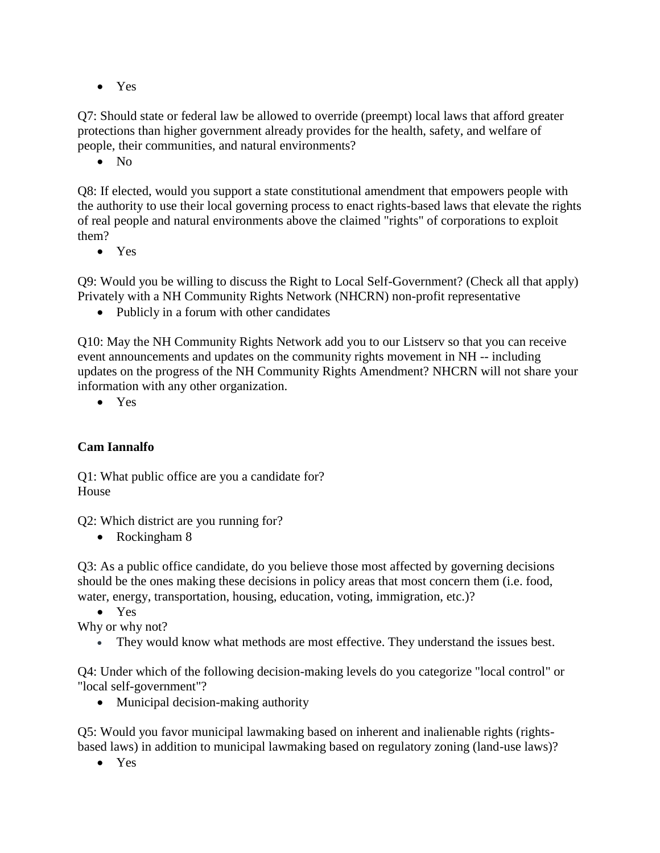• Yes

Q7: Should state or federal law be allowed to override (preempt) local laws that afford greater protections than higher government already provides for the health, safety, and welfare of people, their communities, and natural environments?

• No

Q8: If elected, would you support a state constitutional amendment that empowers people with the authority to use their local governing process to enact rights-based laws that elevate the rights of real people and natural environments above the claimed "rights" of corporations to exploit them?

• Yes

Q9: Would you be willing to discuss the Right to Local Self-Government? (Check all that apply) Privately with a NH Community Rights Network (NHCRN) non-profit representative

• Publicly in a forum with other candidates

Q10: May the NH Community Rights Network add you to our Listserv so that you can receive event announcements and updates on the community rights movement in NH -- including updates on the progress of the NH Community Rights Amendment? NHCRN will not share your information with any other organization.

• Yes

## **Cam Iannalfo**

Q1: What public office are you a candidate for? House

Q2: Which district are you running for?

• Rockingham 8

Q3: As a public office candidate, do you believe those most affected by governing decisions should be the ones making these decisions in policy areas that most concern them (i.e. food, water, energy, transportation, housing, education, voting, immigration, etc.)?

• Yes

Why or why not?

• They would know what methods are most effective. They understand the issues best.

Q4: Under which of the following decision-making levels do you categorize "local control" or "local self-government"?

• Municipal decision-making authority

Q5: Would you favor municipal lawmaking based on inherent and inalienable rights (rightsbased laws) in addition to municipal lawmaking based on regulatory zoning (land-use laws)?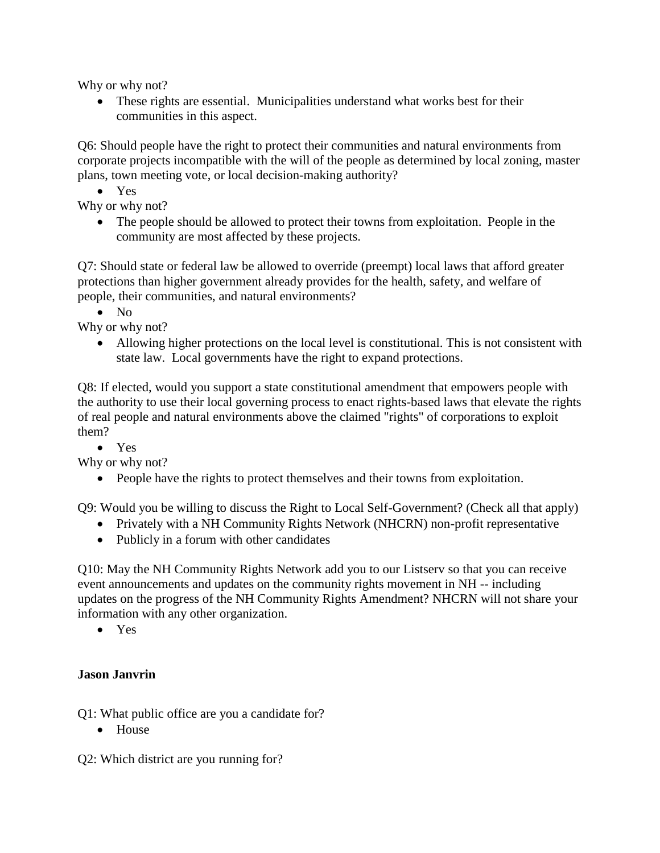Why or why not?

• These rights are essential. Municipalities understand what works best for their communities in this aspect.

Q6: Should people have the right to protect their communities and natural environments from corporate projects incompatible with the will of the people as determined by local zoning, master plans, town meeting vote, or local decision-making authority?

• Yes

Why or why not?

• The people should be allowed to protect their towns from exploitation. People in the community are most affected by these projects.

Q7: Should state or federal law be allowed to override (preempt) local laws that afford greater protections than higher government already provides for the health, safety, and welfare of people, their communities, and natural environments?

• No

Why or why not?

• Allowing higher protections on the local level is constitutional. This is not consistent with state law. Local governments have the right to expand protections.

Q8: If elected, would you support a state constitutional amendment that empowers people with the authority to use their local governing process to enact rights-based laws that elevate the rights of real people and natural environments above the claimed "rights" of corporations to exploit them?

• Yes

Why or why not?

• People have the rights to protect themselves and their towns from exploitation.

Q9: Would you be willing to discuss the Right to Local Self-Government? (Check all that apply)

- Privately with a NH Community Rights Network (NHCRN) non-profit representative
- Publicly in a forum with other candidates

Q10: May the NH Community Rights Network add you to our Listserv so that you can receive event announcements and updates on the community rights movement in NH -- including updates on the progress of the NH Community Rights Amendment? NHCRN will not share your information with any other organization.

• Yes

## **Jason Janvrin**

Q1: What public office are you a candidate for?

• House

Q2: Which district are you running for?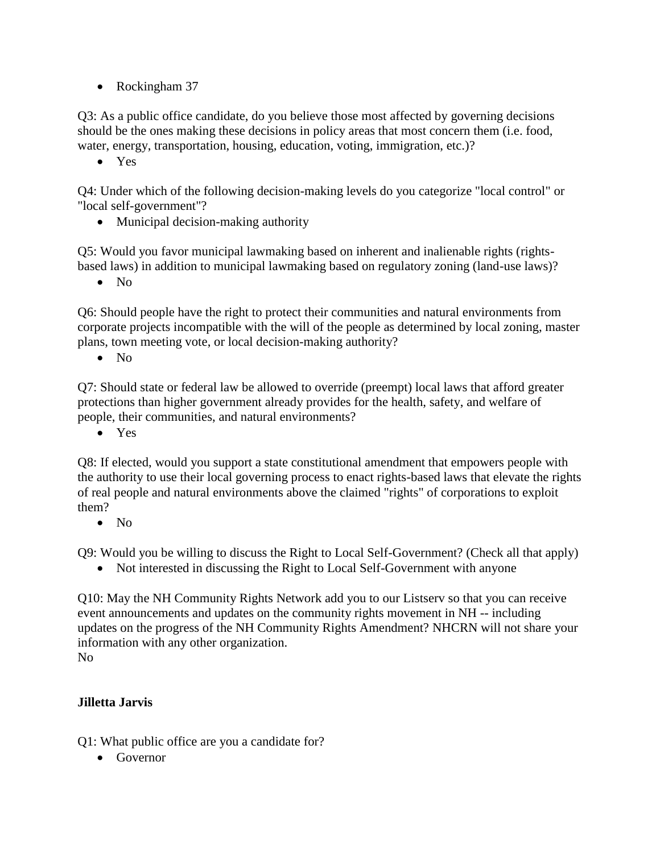• Rockingham 37

Q3: As a public office candidate, do you believe those most affected by governing decisions should be the ones making these decisions in policy areas that most concern them (i.e. food, water, energy, transportation, housing, education, voting, immigration, etc.)?

• Yes

Q4: Under which of the following decision-making levels do you categorize "local control" or "local self-government"?

• Municipal decision-making authority

Q5: Would you favor municipal lawmaking based on inherent and inalienable rights (rightsbased laws) in addition to municipal lawmaking based on regulatory zoning (land-use laws)?

• No

Q6: Should people have the right to protect their communities and natural environments from corporate projects incompatible with the will of the people as determined by local zoning, master plans, town meeting vote, or local decision-making authority?

 $\bullet$  No

Q7: Should state or federal law be allowed to override (preempt) local laws that afford greater protections than higher government already provides for the health, safety, and welfare of people, their communities, and natural environments?

• Yes

Q8: If elected, would you support a state constitutional amendment that empowers people with the authority to use their local governing process to enact rights-based laws that elevate the rights of real people and natural environments above the claimed "rights" of corporations to exploit them?

• No

Q9: Would you be willing to discuss the Right to Local Self-Government? (Check all that apply)

• Not interested in discussing the Right to Local Self-Government with anyone

Q10: May the NH Community Rights Network add you to our Listserv so that you can receive event announcements and updates on the community rights movement in NH -- including updates on the progress of the NH Community Rights Amendment? NHCRN will not share your information with any other organization. No

#### **Jilletta Jarvis**

Q1: What public office are you a candidate for?

• Governor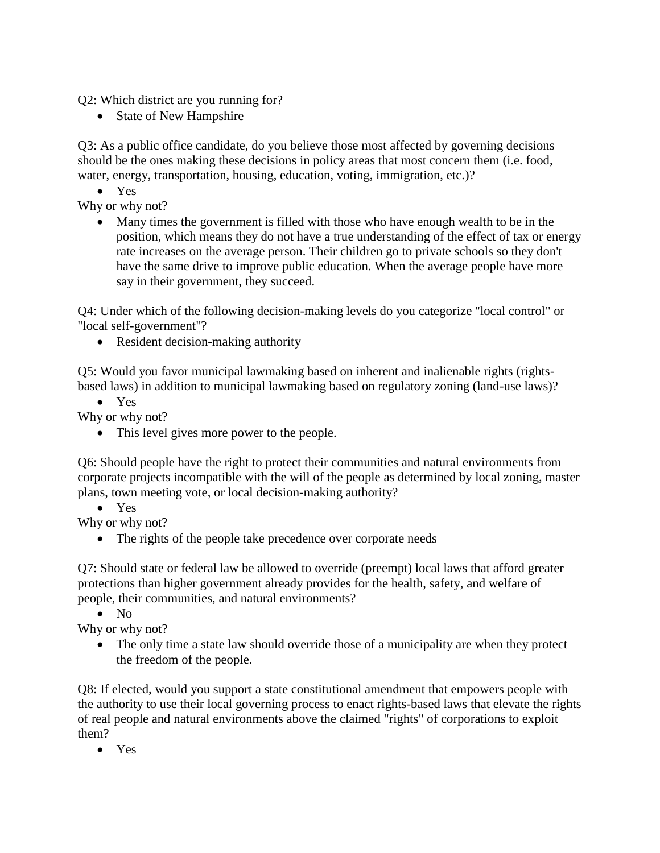Q2: Which district are you running for?

• State of New Hampshire

Q3: As a public office candidate, do you believe those most affected by governing decisions should be the ones making these decisions in policy areas that most concern them (i.e. food, water, energy, transportation, housing, education, voting, immigration, etc.)?

• Yes

Why or why not?

• Many times the government is filled with those who have enough wealth to be in the position, which means they do not have a true understanding of the effect of tax or energy rate increases on the average person. Their children go to private schools so they don't have the same drive to improve public education. When the average people have more say in their government, they succeed.

Q4: Under which of the following decision-making levels do you categorize "local control" or "local self-government"?

• Resident decision-making authority

Q5: Would you favor municipal lawmaking based on inherent and inalienable rights (rightsbased laws) in addition to municipal lawmaking based on regulatory zoning (land-use laws)?

• Yes

Why or why not?

• This level gives more power to the people.

Q6: Should people have the right to protect their communities and natural environments from corporate projects incompatible with the will of the people as determined by local zoning, master plans, town meeting vote, or local decision-making authority?

• Yes

Why or why not?

• The rights of the people take precedence over corporate needs

Q7: Should state or federal law be allowed to override (preempt) local laws that afford greater protections than higher government already provides for the health, safety, and welfare of people, their communities, and natural environments?

 $\bullet$  No

Why or why not?

• The only time a state law should override those of a municipality are when they protect the freedom of the people.

Q8: If elected, would you support a state constitutional amendment that empowers people with the authority to use their local governing process to enact rights-based laws that elevate the rights of real people and natural environments above the claimed "rights" of corporations to exploit them?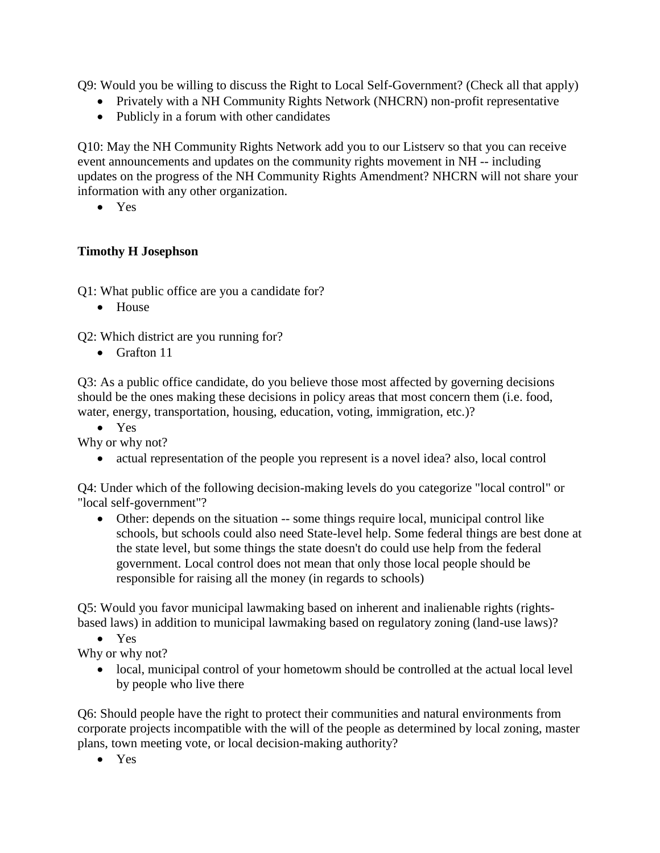Q9: Would you be willing to discuss the Right to Local Self-Government? (Check all that apply)

- Privately with a NH Community Rights Network (NHCRN) non-profit representative
- Publicly in a forum with other candidates

Q10: May the NH Community Rights Network add you to our Listserv so that you can receive event announcements and updates on the community rights movement in NH -- including updates on the progress of the NH Community Rights Amendment? NHCRN will not share your information with any other organization.

• Yes

#### **Timothy H Josephson**

Q1: What public office are you a candidate for?

• House

Q2: Which district are you running for?

• Grafton 11

Q3: As a public office candidate, do you believe those most affected by governing decisions should be the ones making these decisions in policy areas that most concern them (i.e. food, water, energy, transportation, housing, education, voting, immigration, etc.)?

• Yes

Why or why not?

• actual representation of the people you represent is a novel idea? also, local control

Q4: Under which of the following decision-making levels do you categorize "local control" or "local self-government"?

• Other: depends on the situation -- some things require local, municipal control like schools, but schools could also need State-level help. Some federal things are best done at the state level, but some things the state doesn't do could use help from the federal government. Local control does not mean that only those local people should be responsible for raising all the money (in regards to schools)

Q5: Would you favor municipal lawmaking based on inherent and inalienable rights (rightsbased laws) in addition to municipal lawmaking based on regulatory zoning (land-use laws)?

• Yes

Why or why not?

• local, municipal control of your hometowm should be controlled at the actual local level by people who live there

Q6: Should people have the right to protect their communities and natural environments from corporate projects incompatible with the will of the people as determined by local zoning, master plans, town meeting vote, or local decision-making authority?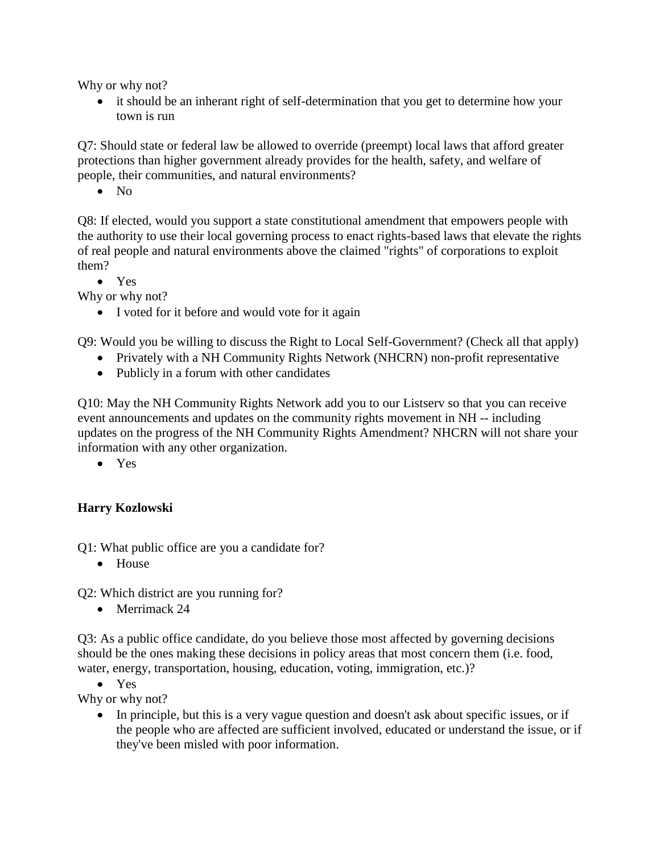Why or why not?

• it should be an inherant right of self-determination that you get to determine how your town is run

Q7: Should state or federal law be allowed to override (preempt) local laws that afford greater protections than higher government already provides for the health, safety, and welfare of people, their communities, and natural environments?

• No

Q8: If elected, would you support a state constitutional amendment that empowers people with the authority to use their local governing process to enact rights-based laws that elevate the rights of real people and natural environments above the claimed "rights" of corporations to exploit them?

• Yes

Why or why not?

• I voted for it before and would vote for it again

Q9: Would you be willing to discuss the Right to Local Self-Government? (Check all that apply)

- Privately with a NH Community Rights Network (NHCRN) non-profit representative
- Publicly in a forum with other candidates

Q10: May the NH Community Rights Network add you to our Listserv so that you can receive event announcements and updates on the community rights movement in NH -- including updates on the progress of the NH Community Rights Amendment? NHCRN will not share your information with any other organization.

• Yes

## **Harry Kozlowski**

Q1: What public office are you a candidate for?

• House

Q2: Which district are you running for?

• Merrimack 24

Q3: As a public office candidate, do you believe those most affected by governing decisions should be the ones making these decisions in policy areas that most concern them (i.e. food, water, energy, transportation, housing, education, voting, immigration, etc.)?

• Yes

Why or why not?

• In principle, but this is a very vague question and doesn't ask about specific issues, or if the people who are affected are sufficient involved, educated or understand the issue, or if they've been misled with poor information.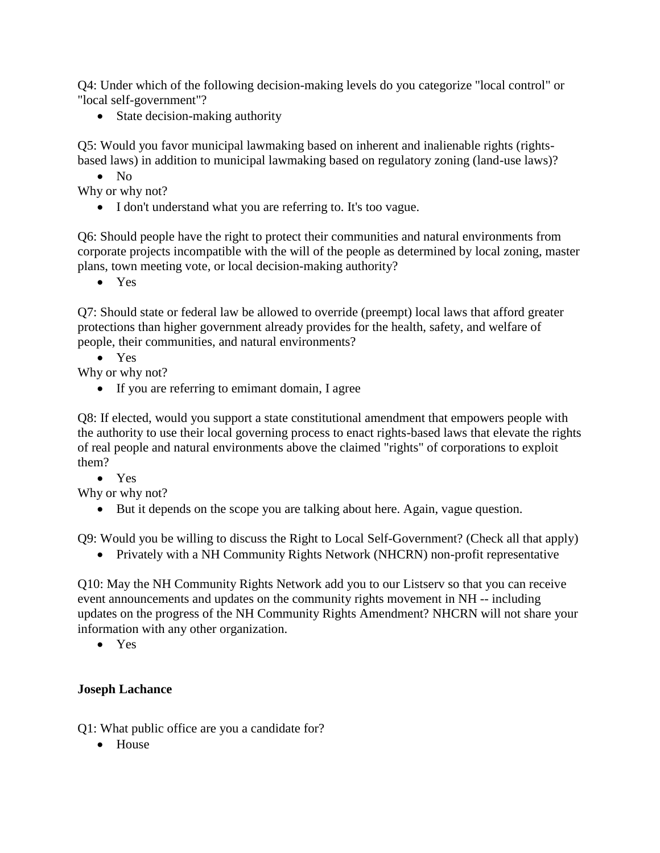Q4: Under which of the following decision-making levels do you categorize "local control" or "local self-government"?

• State decision-making authority

Q5: Would you favor municipal lawmaking based on inherent and inalienable rights (rightsbased laws) in addition to municipal lawmaking based on regulatory zoning (land-use laws)?

• No

Why or why not?

• I don't understand what you are referring to. It's too vague.

Q6: Should people have the right to protect their communities and natural environments from corporate projects incompatible with the will of the people as determined by local zoning, master plans, town meeting vote, or local decision-making authority?

• Yes

Q7: Should state or federal law be allowed to override (preempt) local laws that afford greater protections than higher government already provides for the health, safety, and welfare of people, their communities, and natural environments?

• Yes

Why or why not?

• If you are referring to emimant domain, I agree

Q8: If elected, would you support a state constitutional amendment that empowers people with the authority to use their local governing process to enact rights-based laws that elevate the rights of real people and natural environments above the claimed "rights" of corporations to exploit them?

• Yes

Why or why not?

• But it depends on the scope you are talking about here. Again, vague question.

Q9: Would you be willing to discuss the Right to Local Self-Government? (Check all that apply)

• Privately with a NH Community Rights Network (NHCRN) non-profit representative

Q10: May the NH Community Rights Network add you to our Listserv so that you can receive event announcements and updates on the community rights movement in NH -- including updates on the progress of the NH Community Rights Amendment? NHCRN will not share your information with any other organization.

• Yes

#### **Joseph Lachance**

Q1: What public office are you a candidate for?

• House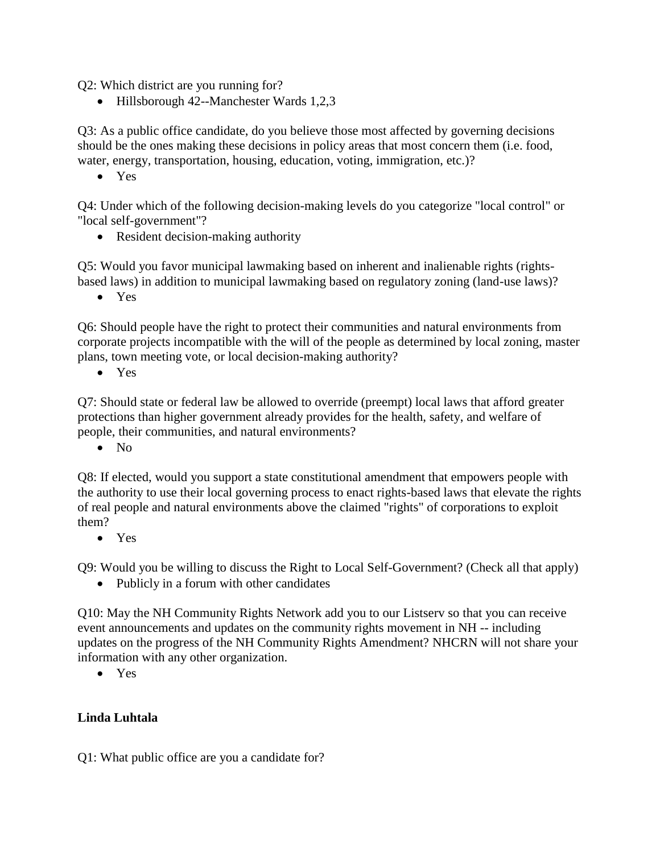Q2: Which district are you running for?

• Hillsborough 42--Manchester Wards 1,2,3

Q3: As a public office candidate, do you believe those most affected by governing decisions should be the ones making these decisions in policy areas that most concern them (i.e. food, water, energy, transportation, housing, education, voting, immigration, etc.)?

• Yes

Q4: Under which of the following decision-making levels do you categorize "local control" or "local self-government"?

• Resident decision-making authority

Q5: Would you favor municipal lawmaking based on inherent and inalienable rights (rightsbased laws) in addition to municipal lawmaking based on regulatory zoning (land-use laws)?

• Yes

Q6: Should people have the right to protect their communities and natural environments from corporate projects incompatible with the will of the people as determined by local zoning, master plans, town meeting vote, or local decision-making authority?

• Yes

Q7: Should state or federal law be allowed to override (preempt) local laws that afford greater protections than higher government already provides for the health, safety, and welfare of people, their communities, and natural environments?

 $\bullet$  No

Q8: If elected, would you support a state constitutional amendment that empowers people with the authority to use their local governing process to enact rights-based laws that elevate the rights of real people and natural environments above the claimed "rights" of corporations to exploit them?

• Yes

Q9: Would you be willing to discuss the Right to Local Self-Government? (Check all that apply)

• Publicly in a forum with other candidates

Q10: May the NH Community Rights Network add you to our Listserv so that you can receive event announcements and updates on the community rights movement in NH -- including updates on the progress of the NH Community Rights Amendment? NHCRN will not share your information with any other organization.

• Yes

## **Linda Luhtala**

Q1: What public office are you a candidate for?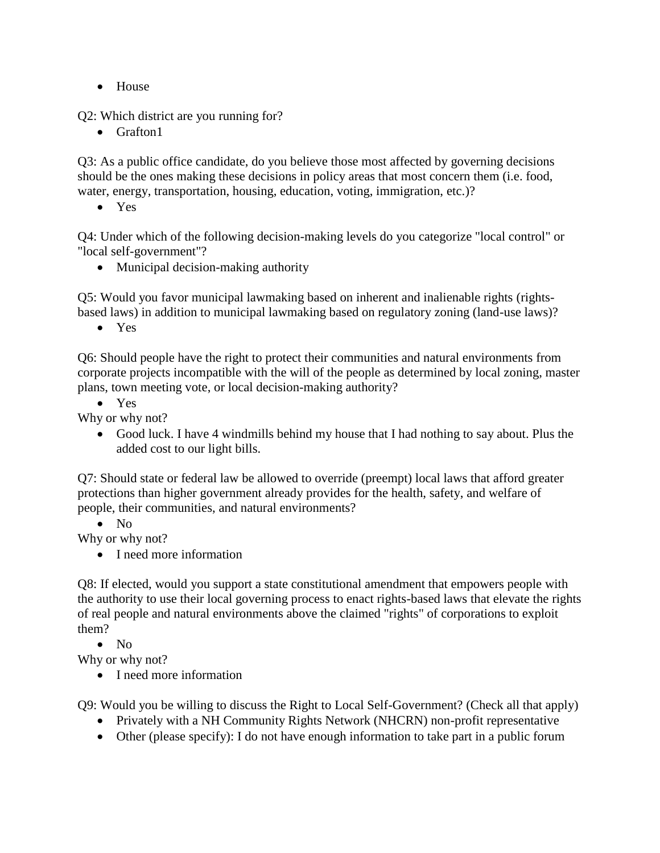• House

Q2: Which district are you running for?

• Grafton1

Q3: As a public office candidate, do you believe those most affected by governing decisions should be the ones making these decisions in policy areas that most concern them (i.e. food, water, energy, transportation, housing, education, voting, immigration, etc.)?

• Yes

Q4: Under which of the following decision-making levels do you categorize "local control" or "local self-government"?

• Municipal decision-making authority

Q5: Would you favor municipal lawmaking based on inherent and inalienable rights (rightsbased laws) in addition to municipal lawmaking based on regulatory zoning (land-use laws)?

• Yes

Q6: Should people have the right to protect their communities and natural environments from corporate projects incompatible with the will of the people as determined by local zoning, master plans, town meeting vote, or local decision-making authority?

• Yes

Why or why not?

• Good luck. I have 4 windmills behind my house that I had nothing to say about. Plus the added cost to our light bills.

Q7: Should state or federal law be allowed to override (preempt) local laws that afford greater protections than higher government already provides for the health, safety, and welfare of people, their communities, and natural environments?

• No

Why or why not?

• I need more information

Q8: If elected, would you support a state constitutional amendment that empowers people with the authority to use their local governing process to enact rights-based laws that elevate the rights of real people and natural environments above the claimed "rights" of corporations to exploit them?

• No

Why or why not?

• I need more information

Q9: Would you be willing to discuss the Right to Local Self-Government? (Check all that apply)

- Privately with a NH Community Rights Network (NHCRN) non-profit representative
- Other (please specify): I do not have enough information to take part in a public forum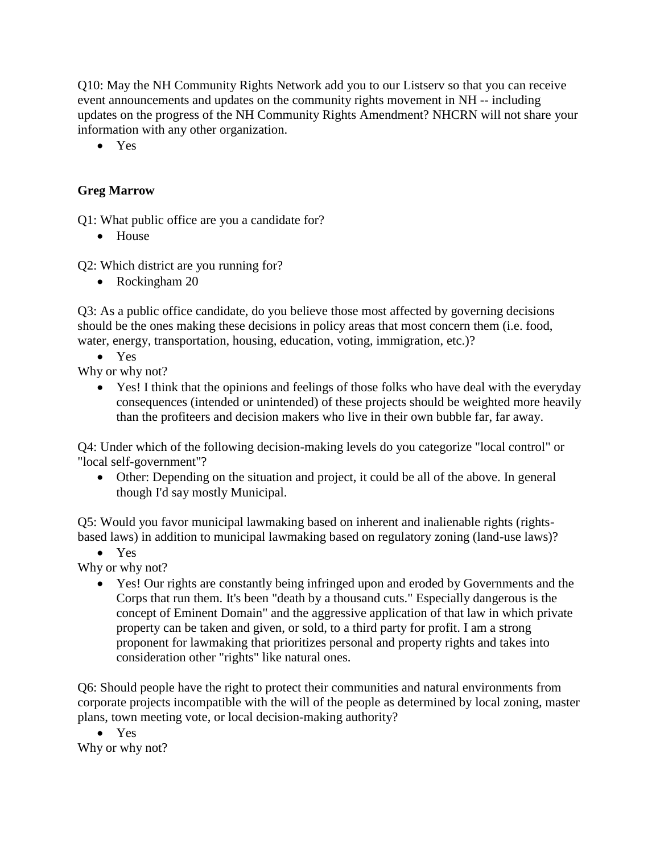Q10: May the NH Community Rights Network add you to our Listserv so that you can receive event announcements and updates on the community rights movement in NH -- including updates on the progress of the NH Community Rights Amendment? NHCRN will not share your information with any other organization.

• Yes

### **Greg Marrow**

Q1: What public office are you a candidate for?

• House

Q2: Which district are you running for?

• Rockingham 20

Q3: As a public office candidate, do you believe those most affected by governing decisions should be the ones making these decisions in policy areas that most concern them (i.e. food, water, energy, transportation, housing, education, voting, immigration, etc.)?

• Yes

Why or why not?

• Yes! I think that the opinions and feelings of those folks who have deal with the everyday consequences (intended or unintended) of these projects should be weighted more heavily than the profiteers and decision makers who live in their own bubble far, far away.

Q4: Under which of the following decision-making levels do you categorize "local control" or "local self-government"?

• Other: Depending on the situation and project, it could be all of the above. In general though I'd say mostly Municipal.

Q5: Would you favor municipal lawmaking based on inherent and inalienable rights (rightsbased laws) in addition to municipal lawmaking based on regulatory zoning (land-use laws)?

• Yes

Why or why not?

• Yes! Our rights are constantly being infringed upon and eroded by Governments and the Corps that run them. It's been "death by a thousand cuts." Especially dangerous is the concept of Eminent Domain" and the aggressive application of that law in which private property can be taken and given, or sold, to a third party for profit. I am a strong proponent for lawmaking that prioritizes personal and property rights and takes into consideration other "rights" like natural ones.

Q6: Should people have the right to protect their communities and natural environments from corporate projects incompatible with the will of the people as determined by local zoning, master plans, town meeting vote, or local decision-making authority?

• Yes Why or why not?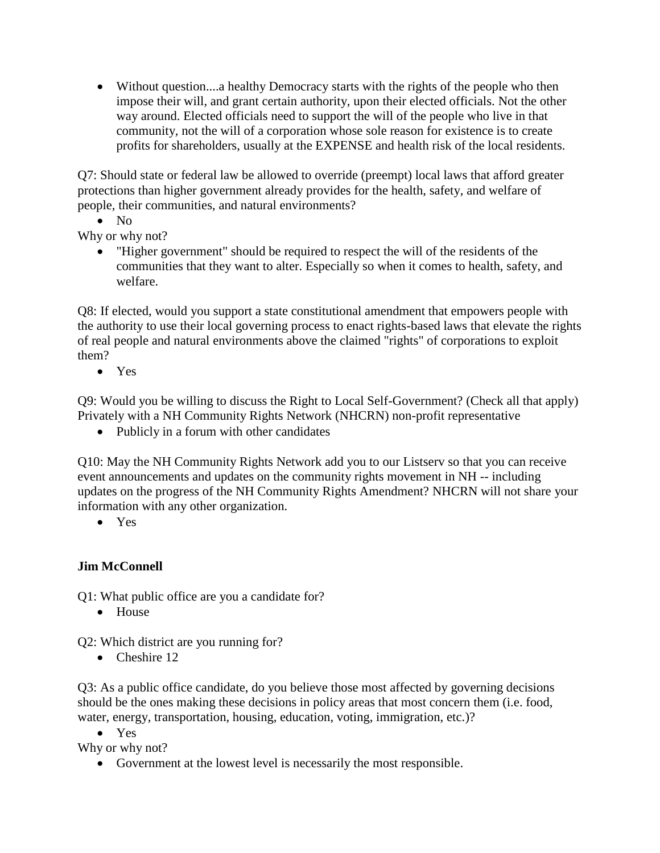• Without question....a healthy Democracy starts with the rights of the people who then impose their will, and grant certain authority, upon their elected officials. Not the other way around. Elected officials need to support the will of the people who live in that community, not the will of a corporation whose sole reason for existence is to create profits for shareholders, usually at the EXPENSE and health risk of the local residents.

Q7: Should state or federal law be allowed to override (preempt) local laws that afford greater protections than higher government already provides for the health, safety, and welfare of people, their communities, and natural environments?

• No

Why or why not?

• "Higher government" should be required to respect the will of the residents of the communities that they want to alter. Especially so when it comes to health, safety, and welfare.

Q8: If elected, would you support a state constitutional amendment that empowers people with the authority to use their local governing process to enact rights-based laws that elevate the rights of real people and natural environments above the claimed "rights" of corporations to exploit them?

• Yes

Q9: Would you be willing to discuss the Right to Local Self-Government? (Check all that apply) Privately with a NH Community Rights Network (NHCRN) non-profit representative

• Publicly in a forum with other candidates

Q10: May the NH Community Rights Network add you to our Listserv so that you can receive event announcements and updates on the community rights movement in NH -- including updates on the progress of the NH Community Rights Amendment? NHCRN will not share your information with any other organization.

• Yes

## **Jim McConnell**

Q1: What public office are you a candidate for?

• House

Q2: Which district are you running for?

• Cheshire 12

Q3: As a public office candidate, do you believe those most affected by governing decisions should be the ones making these decisions in policy areas that most concern them (i.e. food, water, energy, transportation, housing, education, voting, immigration, etc.)?

• Yes

Why or why not?

• Government at the lowest level is necessarily the most responsible.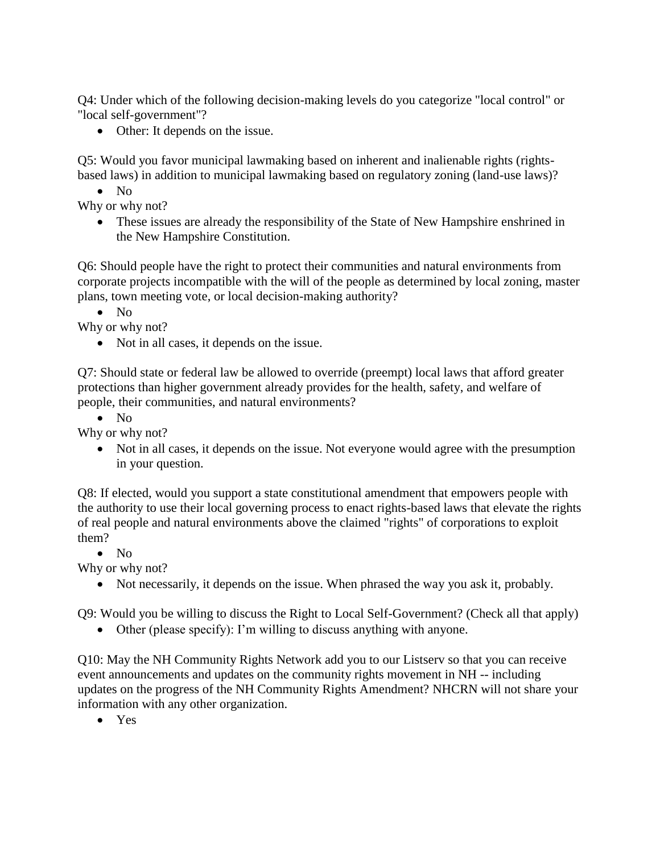Q4: Under which of the following decision-making levels do you categorize "local control" or "local self-government"?

• Other: It depends on the issue.

Q5: Would you favor municipal lawmaking based on inherent and inalienable rights (rightsbased laws) in addition to municipal lawmaking based on regulatory zoning (land-use laws)?

• No

Why or why not?

• These issues are already the responsibility of the State of New Hampshire enshrined in the New Hampshire Constitution.

Q6: Should people have the right to protect their communities and natural environments from corporate projects incompatible with the will of the people as determined by local zoning, master plans, town meeting vote, or local decision-making authority?

• No

Why or why not?

• Not in all cases, it depends on the issue.

Q7: Should state or federal law be allowed to override (preempt) local laws that afford greater protections than higher government already provides for the health, safety, and welfare of people, their communities, and natural environments?

• No

Why or why not?

• Not in all cases, it depends on the issue. Not everyone would agree with the presumption in your question.

Q8: If elected, would you support a state constitutional amendment that empowers people with the authority to use their local governing process to enact rights-based laws that elevate the rights of real people and natural environments above the claimed "rights" of corporations to exploit them?

 $\bullet$  No

Why or why not?

• Not necessarily, it depends on the issue. When phrased the way you ask it, probably.

Q9: Would you be willing to discuss the Right to Local Self-Government? (Check all that apply)

• Other (please specify): I'm willing to discuss anything with anyone.

Q10: May the NH Community Rights Network add you to our Listserv so that you can receive event announcements and updates on the community rights movement in NH -- including updates on the progress of the NH Community Rights Amendment? NHCRN will not share your information with any other organization.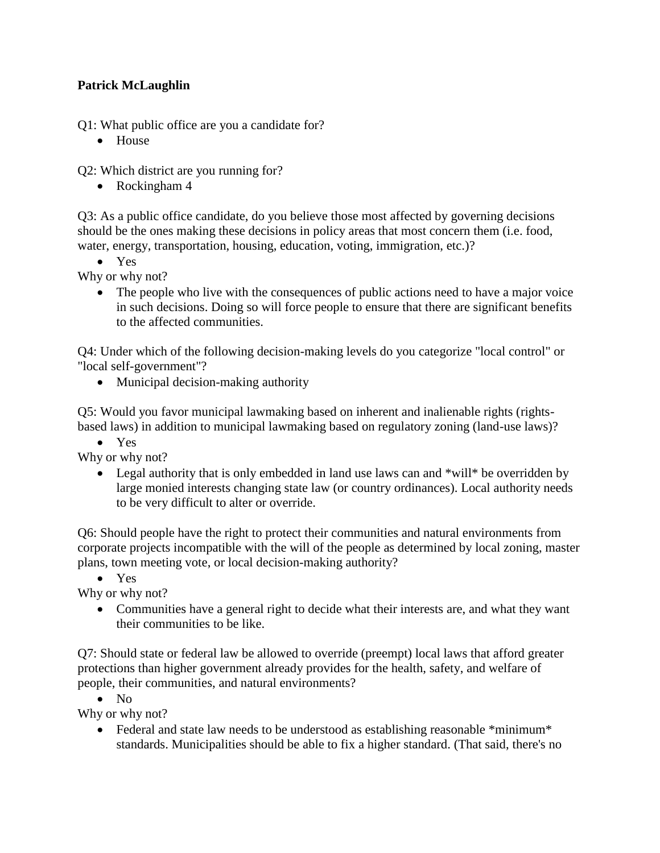## **Patrick McLaughlin**

Q1: What public office are you a candidate for?

• House

Q2: Which district are you running for?

• Rockingham 4

Q3: As a public office candidate, do you believe those most affected by governing decisions should be the ones making these decisions in policy areas that most concern them (i.e. food, water, energy, transportation, housing, education, voting, immigration, etc.)?

• Yes

Why or why not?

• The people who live with the consequences of public actions need to have a major voice in such decisions. Doing so will force people to ensure that there are significant benefits to the affected communities.

Q4: Under which of the following decision-making levels do you categorize "local control" or "local self-government"?

• Municipal decision-making authority

Q5: Would you favor municipal lawmaking based on inherent and inalienable rights (rightsbased laws) in addition to municipal lawmaking based on regulatory zoning (land-use laws)?

• Yes

Why or why not?

• Legal authority that is only embedded in land use laws can and \*will\* be overridden by large monied interests changing state law (or country ordinances). Local authority needs to be very difficult to alter or override.

Q6: Should people have the right to protect their communities and natural environments from corporate projects incompatible with the will of the people as determined by local zoning, master plans, town meeting vote, or local decision-making authority?

• Yes

Why or why not?

• Communities have a general right to decide what their interests are, and what they want their communities to be like.

Q7: Should state or federal law be allowed to override (preempt) local laws that afford greater protections than higher government already provides for the health, safety, and welfare of people, their communities, and natural environments?

• No

Why or why not?

• Federal and state law needs to be understood as establishing reasonable \*minimum\* standards. Municipalities should be able to fix a higher standard. (That said, there's no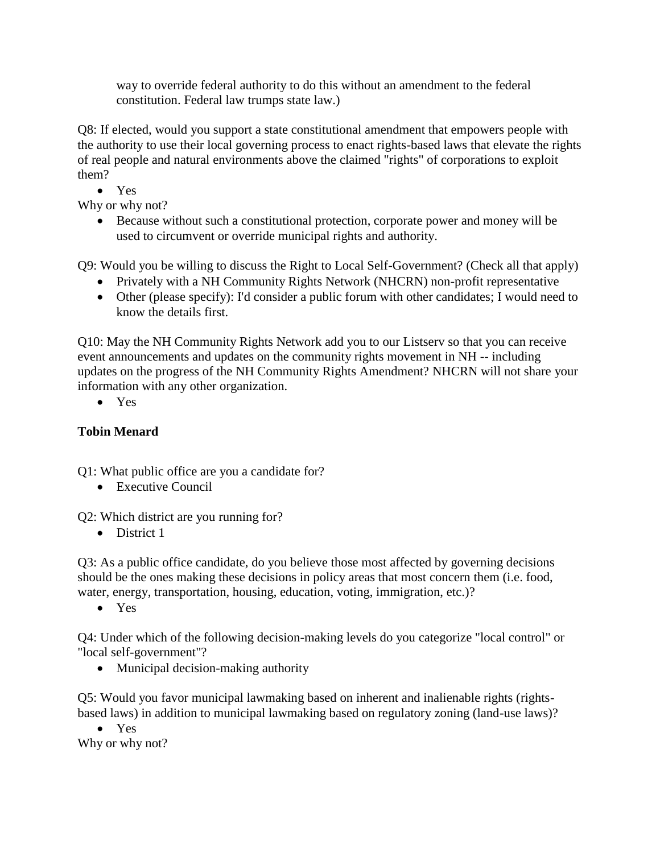way to override federal authority to do this without an amendment to the federal constitution. Federal law trumps state law.)

Q8: If elected, would you support a state constitutional amendment that empowers people with the authority to use their local governing process to enact rights-based laws that elevate the rights of real people and natural environments above the claimed "rights" of corporations to exploit them?

• Yes

Why or why not?

• Because without such a constitutional protection, corporate power and money will be used to circumvent or override municipal rights and authority.

Q9: Would you be willing to discuss the Right to Local Self-Government? (Check all that apply)

- Privately with a NH Community Rights Network (NHCRN) non-profit representative
- Other (please specify): I'd consider a public forum with other candidates; I would need to know the details first.

Q10: May the NH Community Rights Network add you to our Listserv so that you can receive event announcements and updates on the community rights movement in NH -- including updates on the progress of the NH Community Rights Amendment? NHCRN will not share your information with any other organization.

• Yes

# **Tobin Menard**

Q1: What public office are you a candidate for?

• Executive Council

Q2: Which district are you running for?

• District 1

Q3: As a public office candidate, do you believe those most affected by governing decisions should be the ones making these decisions in policy areas that most concern them (i.e. food, water, energy, transportation, housing, education, voting, immigration, etc.)?

• Yes

Q4: Under which of the following decision-making levels do you categorize "local control" or "local self-government"?

• Municipal decision-making authority

Q5: Would you favor municipal lawmaking based on inherent and inalienable rights (rightsbased laws) in addition to municipal lawmaking based on regulatory zoning (land-use laws)?

• Yes Why or why not?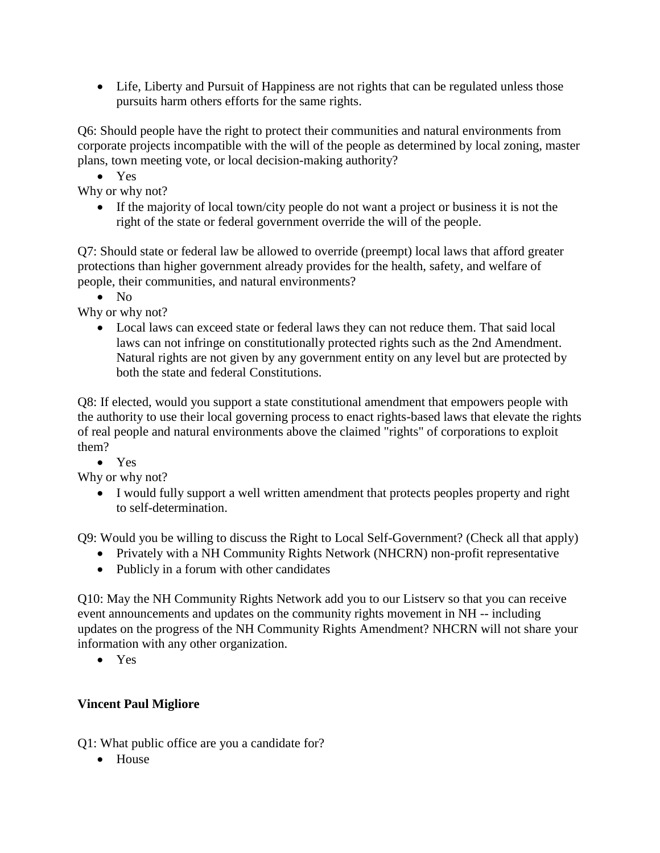• Life, Liberty and Pursuit of Happiness are not rights that can be regulated unless those pursuits harm others efforts for the same rights.

Q6: Should people have the right to protect their communities and natural environments from corporate projects incompatible with the will of the people as determined by local zoning, master plans, town meeting vote, or local decision-making authority?

• Yes

Why or why not?

• If the majority of local town/city people do not want a project or business it is not the right of the state or federal government override the will of the people.

Q7: Should state or federal law be allowed to override (preempt) local laws that afford greater protections than higher government already provides for the health, safety, and welfare of people, their communities, and natural environments?

• No

Why or why not?

• Local laws can exceed state or federal laws they can not reduce them. That said local laws can not infringe on constitutionally protected rights such as the 2nd Amendment. Natural rights are not given by any government entity on any level but are protected by both the state and federal Constitutions.

Q8: If elected, would you support a state constitutional amendment that empowers people with the authority to use their local governing process to enact rights-based laws that elevate the rights of real people and natural environments above the claimed "rights" of corporations to exploit them?

• Yes

Why or why not?

• I would fully support a well written amendment that protects peoples property and right to self-determination.

Q9: Would you be willing to discuss the Right to Local Self-Government? (Check all that apply)

- Privately with a NH Community Rights Network (NHCRN) non-profit representative
- Publicly in a forum with other candidates

Q10: May the NH Community Rights Network add you to our Listserv so that you can receive event announcements and updates on the community rights movement in NH -- including updates on the progress of the NH Community Rights Amendment? NHCRN will not share your information with any other organization.

• Yes

## **Vincent Paul Migliore**

Q1: What public office are you a candidate for?

• House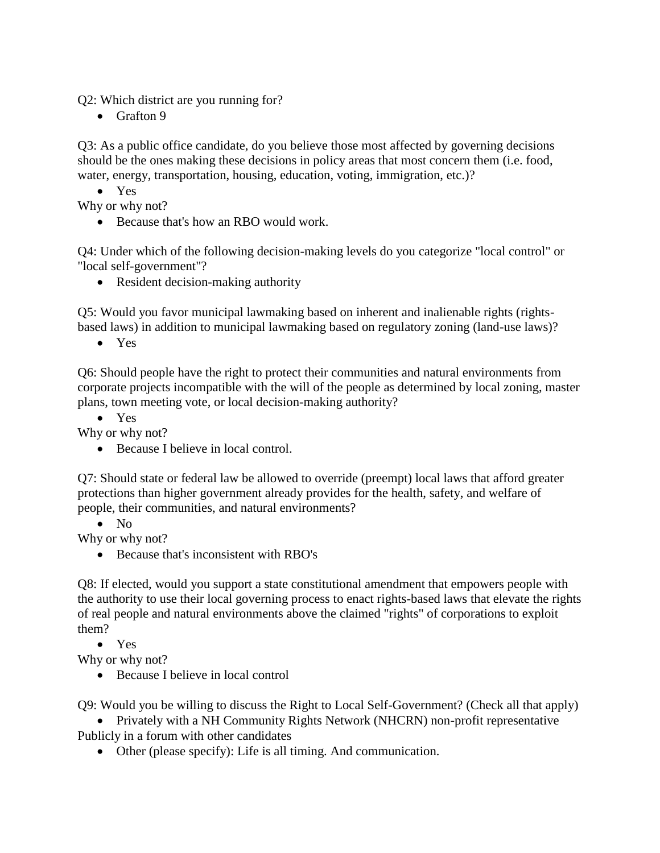Q2: Which district are you running for?

• Grafton 9

Q3: As a public office candidate, do you believe those most affected by governing decisions should be the ones making these decisions in policy areas that most concern them (i.e. food, water, energy, transportation, housing, education, voting, immigration, etc.)?

• Yes

Why or why not?

• Because that's how an RBO would work.

Q4: Under which of the following decision-making levels do you categorize "local control" or "local self-government"?

• Resident decision-making authority

Q5: Would you favor municipal lawmaking based on inherent and inalienable rights (rightsbased laws) in addition to municipal lawmaking based on regulatory zoning (land-use laws)?

• Yes

Q6: Should people have the right to protect their communities and natural environments from corporate projects incompatible with the will of the people as determined by local zoning, master plans, town meeting vote, or local decision-making authority?

• Yes

Why or why not?

• Because I believe in local control.

Q7: Should state or federal law be allowed to override (preempt) local laws that afford greater protections than higher government already provides for the health, safety, and welfare of people, their communities, and natural environments?

• No

Why or why not?

• Because that's inconsistent with RBO's

Q8: If elected, would you support a state constitutional amendment that empowers people with the authority to use their local governing process to enact rights-based laws that elevate the rights of real people and natural environments above the claimed "rights" of corporations to exploit them?

• Yes

Why or why not?

• Because I believe in local control

Q9: Would you be willing to discuss the Right to Local Self-Government? (Check all that apply)

• Privately with a NH Community Rights Network (NHCRN) non-profit representative Publicly in a forum with other candidates

• Other (please specify): Life is all timing. And communication.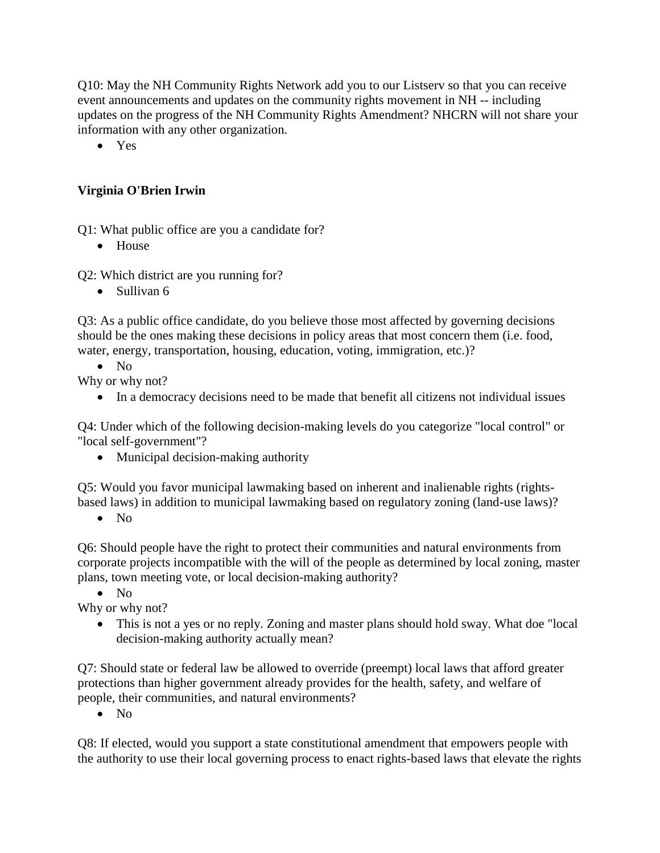Q10: May the NH Community Rights Network add you to our Listserv so that you can receive event announcements and updates on the community rights movement in NH -- including updates on the progress of the NH Community Rights Amendment? NHCRN will not share your information with any other organization.

• Yes

## **Virginia O'Brien Irwin**

Q1: What public office are you a candidate for?

• House

Q2: Which district are you running for?

• Sullivan 6

Q3: As a public office candidate, do you believe those most affected by governing decisions should be the ones making these decisions in policy areas that most concern them (i.e. food, water, energy, transportation, housing, education, voting, immigration, etc.)?

• No

Why or why not?

• In a democracy decisions need to be made that benefit all citizens not individual issues

Q4: Under which of the following decision-making levels do you categorize "local control" or "local self-government"?

• Municipal decision-making authority

Q5: Would you favor municipal lawmaking based on inherent and inalienable rights (rightsbased laws) in addition to municipal lawmaking based on regulatory zoning (land-use laws)?

 $\bullet$  No

Q6: Should people have the right to protect their communities and natural environments from corporate projects incompatible with the will of the people as determined by local zoning, master plans, town meeting vote, or local decision-making authority?

• No

Why or why not?

• This is not a yes or no reply. Zoning and master plans should hold sway. What doe "local" decision-making authority actually mean?

Q7: Should state or federal law be allowed to override (preempt) local laws that afford greater protections than higher government already provides for the health, safety, and welfare of people, their communities, and natural environments?

• No

Q8: If elected, would you support a state constitutional amendment that empowers people with the authority to use their local governing process to enact rights-based laws that elevate the rights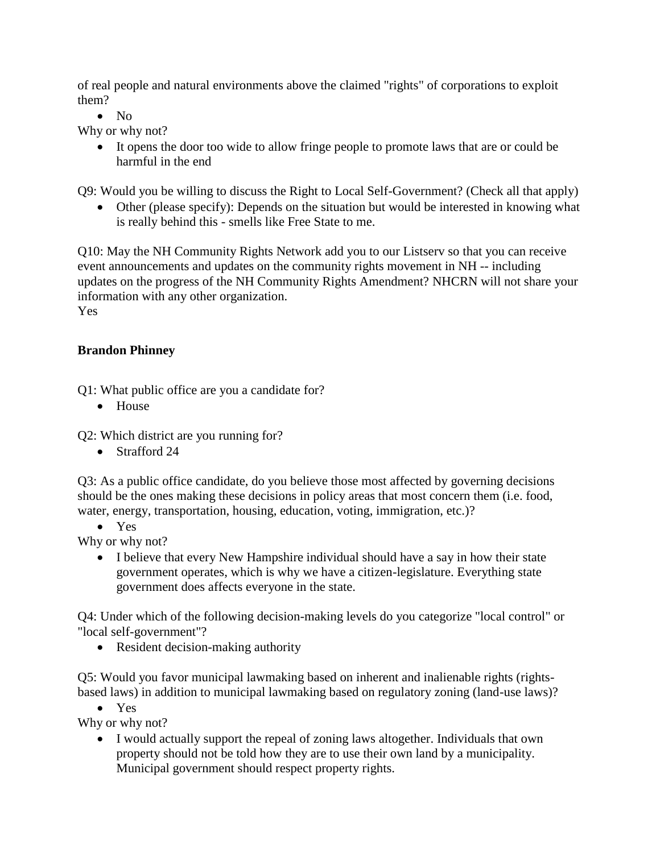of real people and natural environments above the claimed "rights" of corporations to exploit them?

• No

Why or why not?

• It opens the door too wide to allow fringe people to promote laws that are or could be harmful in the end

Q9: Would you be willing to discuss the Right to Local Self-Government? (Check all that apply)

• Other (please specify): Depends on the situation but would be interested in knowing what is really behind this - smells like Free State to me.

Q10: May the NH Community Rights Network add you to our Listserv so that you can receive event announcements and updates on the community rights movement in NH -- including updates on the progress of the NH Community Rights Amendment? NHCRN will not share your information with any other organization. Yes

# **Brandon Phinney**

Q1: What public office are you a candidate for?

• House

Q2: Which district are you running for?

• Strafford 24

Q3: As a public office candidate, do you believe those most affected by governing decisions should be the ones making these decisions in policy areas that most concern them (i.e. food, water, energy, transportation, housing, education, voting, immigration, etc.)?

• Yes

Why or why not?

• I believe that every New Hampshire individual should have a say in how their state government operates, which is why we have a citizen-legislature. Everything state government does affects everyone in the state.

Q4: Under which of the following decision-making levels do you categorize "local control" or "local self-government"?

• Resident decision-making authority

Q5: Would you favor municipal lawmaking based on inherent and inalienable rights (rightsbased laws) in addition to municipal lawmaking based on regulatory zoning (land-use laws)?

• Yes

Why or why not?

• I would actually support the repeal of zoning laws altogether. Individuals that own property should not be told how they are to use their own land by a municipality. Municipal government should respect property rights.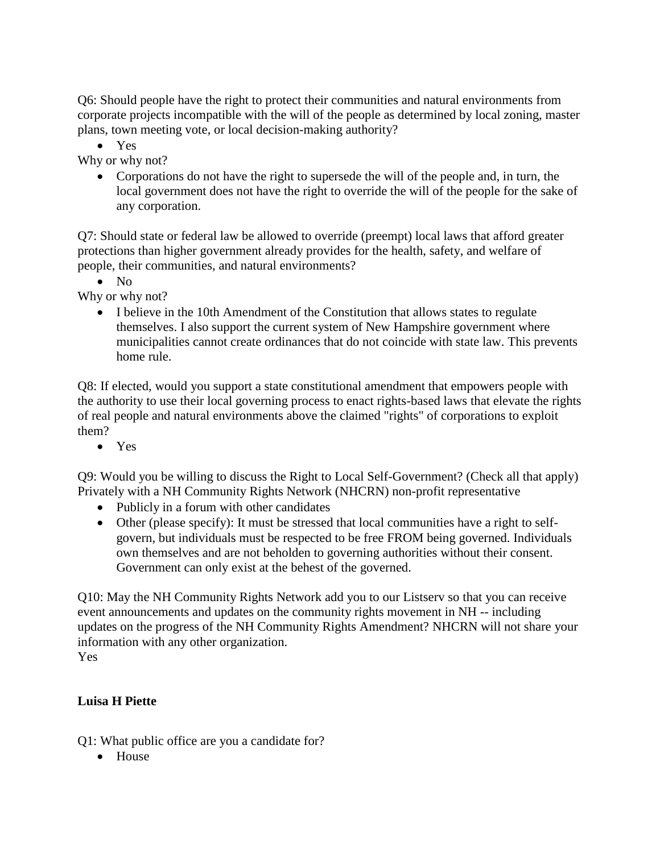Q6: Should people have the right to protect their communities and natural environments from corporate projects incompatible with the will of the people as determined by local zoning, master plans, town meeting vote, or local decision-making authority?

• Yes

Why or why not?

• Corporations do not have the right to supersede the will of the people and, in turn, the local government does not have the right to override the will of the people for the sake of any corporation.

Q7: Should state or federal law be allowed to override (preempt) local laws that afford greater protections than higher government already provides for the health, safety, and welfare of people, their communities, and natural environments?

• No

Why or why not?

• I believe in the 10th Amendment of the Constitution that allows states to regulate themselves. I also support the current system of New Hampshire government where municipalities cannot create ordinances that do not coincide with state law. This prevents home rule.

Q8: If elected, would you support a state constitutional amendment that empowers people with the authority to use their local governing process to enact rights-based laws that elevate the rights of real people and natural environments above the claimed "rights" of corporations to exploit them?

• Yes

Q9: Would you be willing to discuss the Right to Local Self-Government? (Check all that apply) Privately with a NH Community Rights Network (NHCRN) non-profit representative

- Publicly in a forum with other candidates
- Other (please specify): It must be stressed that local communities have a right to selfgovern, but individuals must be respected to be free FROM being governed. Individuals own themselves and are not beholden to governing authorities without their consent. Government can only exist at the behest of the governed.

Q10: May the NH Community Rights Network add you to our Listserv so that you can receive event announcements and updates on the community rights movement in NH -- including updates on the progress of the NH Community Rights Amendment? NHCRN will not share your information with any other organization. Yes

#### **Luisa H Piette**

Q1: What public office are you a candidate for?

• House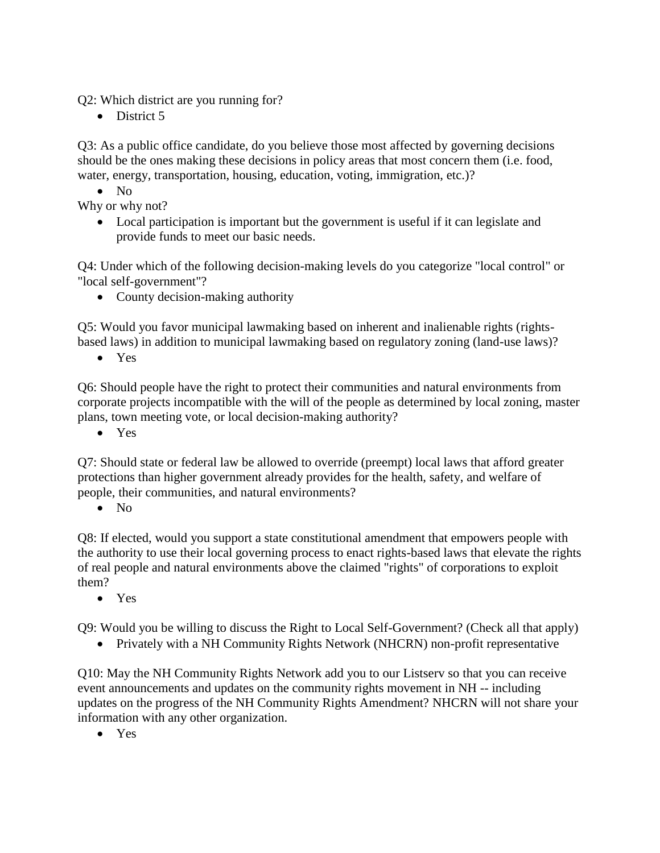Q2: Which district are you running for?

• District 5

Q3: As a public office candidate, do you believe those most affected by governing decisions should be the ones making these decisions in policy areas that most concern them (i.e. food, water, energy, transportation, housing, education, voting, immigration, etc.)?

• No

Why or why not?

• Local participation is important but the government is useful if it can legislate and provide funds to meet our basic needs.

Q4: Under which of the following decision-making levels do you categorize "local control" or "local self-government"?

• County decision-making authority

Q5: Would you favor municipal lawmaking based on inherent and inalienable rights (rightsbased laws) in addition to municipal lawmaking based on regulatory zoning (land-use laws)?

• Yes

Q6: Should people have the right to protect their communities and natural environments from corporate projects incompatible with the will of the people as determined by local zoning, master plans, town meeting vote, or local decision-making authority?

• Yes

Q7: Should state or federal law be allowed to override (preempt) local laws that afford greater protections than higher government already provides for the health, safety, and welfare of people, their communities, and natural environments?

• No

Q8: If elected, would you support a state constitutional amendment that empowers people with the authority to use their local governing process to enact rights-based laws that elevate the rights of real people and natural environments above the claimed "rights" of corporations to exploit them?

• Yes

Q9: Would you be willing to discuss the Right to Local Self-Government? (Check all that apply)

• Privately with a NH Community Rights Network (NHCRN) non-profit representative

Q10: May the NH Community Rights Network add you to our Listserv so that you can receive event announcements and updates on the community rights movement in NH -- including updates on the progress of the NH Community Rights Amendment? NHCRN will not share your information with any other organization.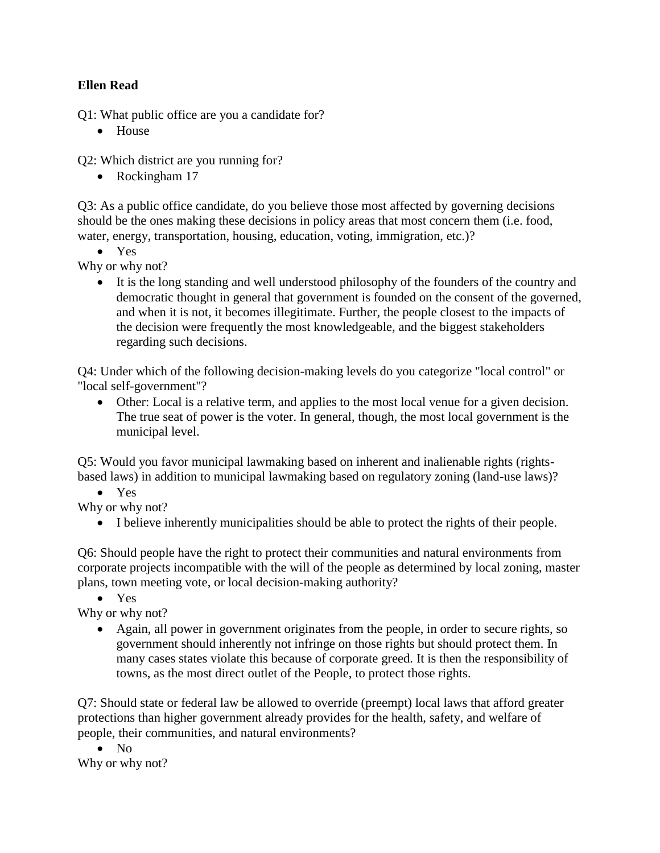#### **Ellen Read**

Q1: What public office are you a candidate for?

• House

Q2: Which district are you running for?

• Rockingham 17

Q3: As a public office candidate, do you believe those most affected by governing decisions should be the ones making these decisions in policy areas that most concern them (i.e. food, water, energy, transportation, housing, education, voting, immigration, etc.)?

• Yes

Why or why not?

• It is the long standing and well understood philosophy of the founders of the country and democratic thought in general that government is founded on the consent of the governed, and when it is not, it becomes illegitimate. Further, the people closest to the impacts of the decision were frequently the most knowledgeable, and the biggest stakeholders regarding such decisions.

Q4: Under which of the following decision-making levels do you categorize "local control" or "local self-government"?

• Other: Local is a relative term, and applies to the most local venue for a given decision. The true seat of power is the voter. In general, though, the most local government is the municipal level.

Q5: Would you favor municipal lawmaking based on inherent and inalienable rights (rightsbased laws) in addition to municipal lawmaking based on regulatory zoning (land-use laws)?

• Yes

Why or why not?

• I believe inherently municipalities should be able to protect the rights of their people.

Q6: Should people have the right to protect their communities and natural environments from corporate projects incompatible with the will of the people as determined by local zoning, master plans, town meeting vote, or local decision-making authority?

• Yes

Why or why not?

• Again, all power in government originates from the people, in order to secure rights, so government should inherently not infringe on those rights but should protect them. In many cases states violate this because of corporate greed. It is then the responsibility of towns, as the most direct outlet of the People, to protect those rights.

Q7: Should state or federal law be allowed to override (preempt) local laws that afford greater protections than higher government already provides for the health, safety, and welfare of people, their communities, and natural environments?

• No Why or why not?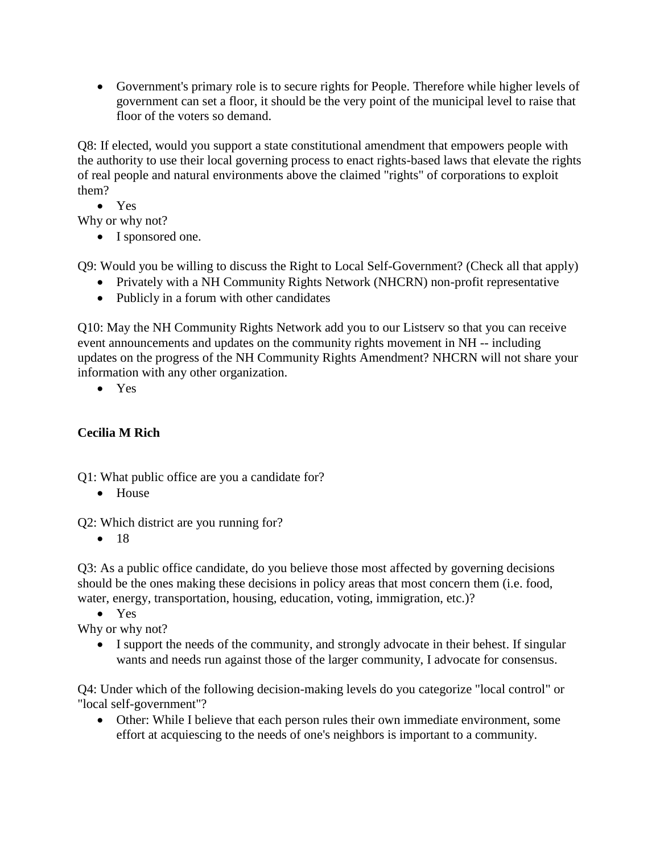• Government's primary role is to secure rights for People. Therefore while higher levels of government can set a floor, it should be the very point of the municipal level to raise that floor of the voters so demand.

Q8: If elected, would you support a state constitutional amendment that empowers people with the authority to use their local governing process to enact rights-based laws that elevate the rights of real people and natural environments above the claimed "rights" of corporations to exploit them?

• Yes

Why or why not?

• I sponsored one.

Q9: Would you be willing to discuss the Right to Local Self-Government? (Check all that apply)

- Privately with a NH Community Rights Network (NHCRN) non-profit representative
- Publicly in a forum with other candidates

Q10: May the NH Community Rights Network add you to our Listserv so that you can receive event announcements and updates on the community rights movement in NH -- including updates on the progress of the NH Community Rights Amendment? NHCRN will not share your information with any other organization.

• Yes

# **Cecilia M Rich**

Q1: What public office are you a candidate for?

• House

Q2: Which district are you running for?

• 18

Q3: As a public office candidate, do you believe those most affected by governing decisions should be the ones making these decisions in policy areas that most concern them (i.e. food, water, energy, transportation, housing, education, voting, immigration, etc.)?

• Yes

Why or why not?

• I support the needs of the community, and strongly advocate in their behest. If singular wants and needs run against those of the larger community, I advocate for consensus.

Q4: Under which of the following decision-making levels do you categorize "local control" or "local self-government"?

• Other: While I believe that each person rules their own immediate environment, some effort at acquiescing to the needs of one's neighbors is important to a community.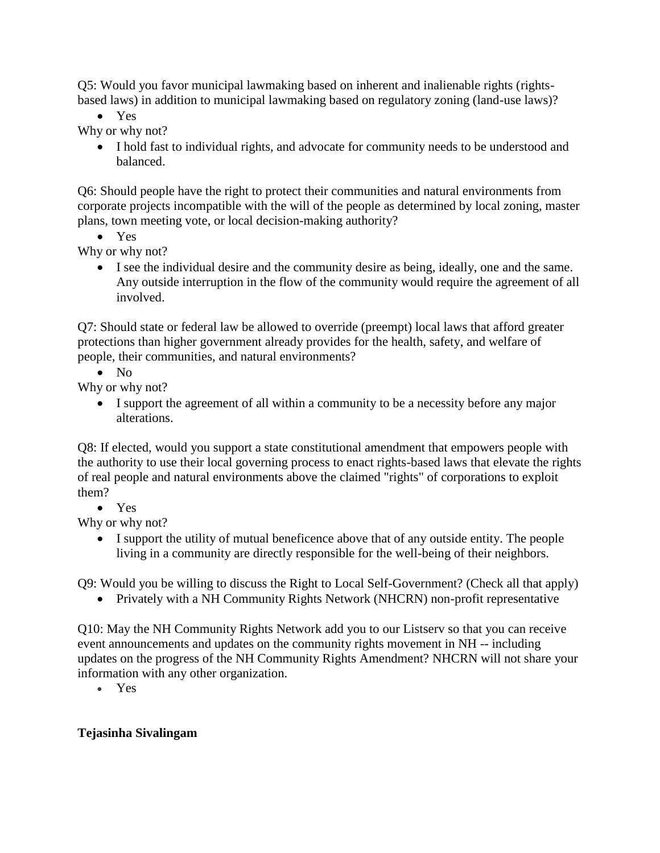Q5: Would you favor municipal lawmaking based on inherent and inalienable rights (rightsbased laws) in addition to municipal lawmaking based on regulatory zoning (land-use laws)?

• Yes

Why or why not?

• I hold fast to individual rights, and advocate for community needs to be understood and balanced.

Q6: Should people have the right to protect their communities and natural environments from corporate projects incompatible with the will of the people as determined by local zoning, master plans, town meeting vote, or local decision-making authority?

• Yes

Why or why not?

• I see the individual desire and the community desire as being, ideally, one and the same. Any outside interruption in the flow of the community would require the agreement of all involved.

Q7: Should state or federal law be allowed to override (preempt) local laws that afford greater protections than higher government already provides for the health, safety, and welfare of people, their communities, and natural environments?

• No

Why or why not?

• I support the agreement of all within a community to be a necessity before any major alterations.

Q8: If elected, would you support a state constitutional amendment that empowers people with the authority to use their local governing process to enact rights-based laws that elevate the rights of real people and natural environments above the claimed "rights" of corporations to exploit them?

• Yes

Why or why not?

• I support the utility of mutual beneficence above that of any outside entity. The people living in a community are directly responsible for the well-being of their neighbors.

Q9: Would you be willing to discuss the Right to Local Self-Government? (Check all that apply)

• Privately with a NH Community Rights Network (NHCRN) non-profit representative

Q10: May the NH Community Rights Network add you to our Listserv so that you can receive event announcements and updates on the community rights movement in NH -- including updates on the progress of the NH Community Rights Amendment? NHCRN will not share your information with any other organization.

• Yes

## **Tejasinha Sivalingam**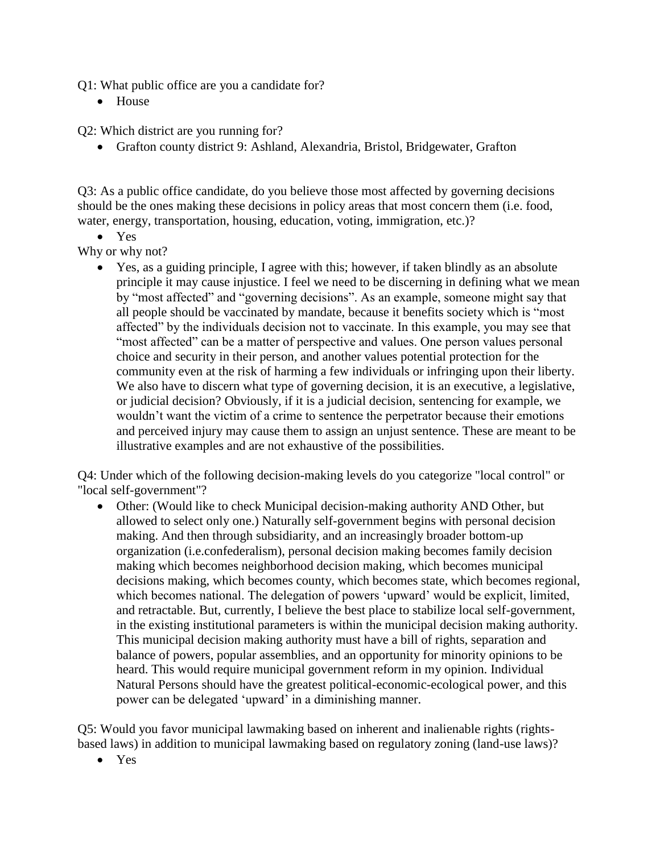Q1: What public office are you a candidate for?

• House

Q2: Which district are you running for?

• Grafton county district 9: Ashland, Alexandria, Bristol, Bridgewater, Grafton

Q3: As a public office candidate, do you believe those most affected by governing decisions should be the ones making these decisions in policy areas that most concern them (i.e. food, water, energy, transportation, housing, education, voting, immigration, etc.)?

• Yes

Why or why not?

• Yes, as a guiding principle, I agree with this; however, if taken blindly as an absolute principle it may cause injustice. I feel we need to be discerning in defining what we mean by "most affected" and "governing decisions". As an example, someone might say that all people should be vaccinated by mandate, because it benefits society which is "most affected" by the individuals decision not to vaccinate. In this example, you may see that "most affected" can be a matter of perspective and values. One person values personal choice and security in their person, and another values potential protection for the community even at the risk of harming a few individuals or infringing upon their liberty. We also have to discern what type of governing decision, it is an executive, a legislative, or judicial decision? Obviously, if it is a judicial decision, sentencing for example, we wouldn't want the victim of a crime to sentence the perpetrator because their emotions and perceived injury may cause them to assign an unjust sentence. These are meant to be illustrative examples and are not exhaustive of the possibilities.

Q4: Under which of the following decision-making levels do you categorize "local control" or "local self-government"?

• Other: (Would like to check Municipal decision-making authority AND Other, but allowed to select only one.) Naturally self-government begins with personal decision making. And then through subsidiarity, and an increasingly broader bottom-up organization (i.e.confederalism), personal decision making becomes family decision making which becomes neighborhood decision making, which becomes municipal decisions making, which becomes county, which becomes state, which becomes regional, which becomes national. The delegation of powers 'upward' would be explicit, limited, and retractable. But, currently, I believe the best place to stabilize local self-government, in the existing institutional parameters is within the municipal decision making authority. This municipal decision making authority must have a bill of rights, separation and balance of powers, popular assemblies, and an opportunity for minority opinions to be heard. This would require municipal government reform in my opinion. Individual Natural Persons should have the greatest political-economic-ecological power, and this power can be delegated 'upward' in a diminishing manner.

Q5: Would you favor municipal lawmaking based on inherent and inalienable rights (rightsbased laws) in addition to municipal lawmaking based on regulatory zoning (land-use laws)?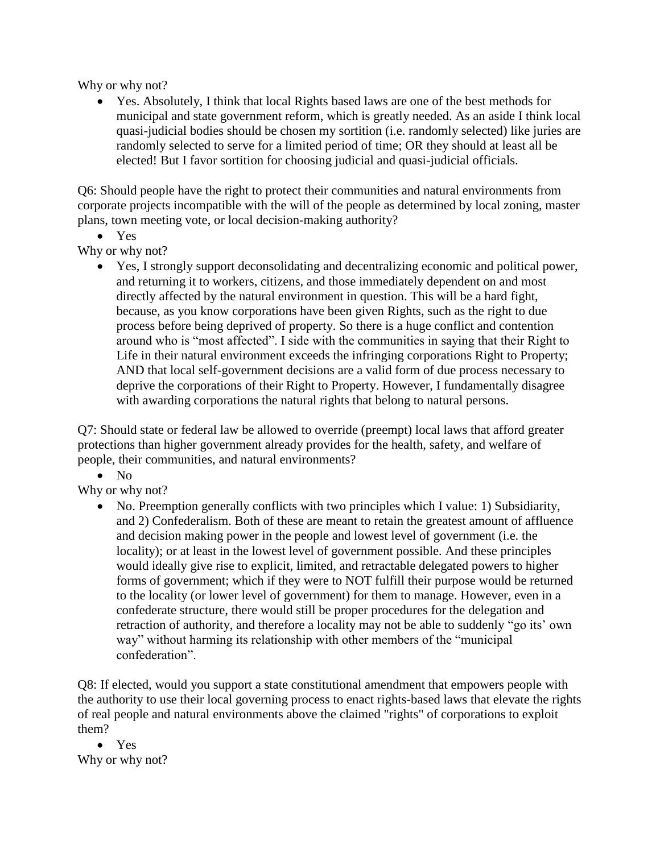Why or why not?

• Yes. Absolutely, I think that local Rights based laws are one of the best methods for municipal and state government reform, which is greatly needed. As an aside I think local quasi-judicial bodies should be chosen my sortition (i.e. randomly selected) like juries are randomly selected to serve for a limited period of time; OR they should at least all be elected! But I favor sortition for choosing judicial and quasi-judicial officials.

Q6: Should people have the right to protect their communities and natural environments from corporate projects incompatible with the will of the people as determined by local zoning, master plans, town meeting vote, or local decision-making authority?

• Yes

Why or why not?

• Yes, I strongly support deconsolidating and decentralizing economic and political power, and returning it to workers, citizens, and those immediately dependent on and most directly affected by the natural environment in question. This will be a hard fight, because, as you know corporations have been given Rights, such as the right to due process before being deprived of property. So there is a huge conflict and contention around who is "most affected". I side with the communities in saying that their Right to Life in their natural environment exceeds the infringing corporations Right to Property; AND that local self-government decisions are a valid form of due process necessary to deprive the corporations of their Right to Property. However, I fundamentally disagree with awarding corporations the natural rights that belong to natural persons.

Q7: Should state or federal law be allowed to override (preempt) local laws that afford greater protections than higher government already provides for the health, safety, and welfare of people, their communities, and natural environments?

• No

Why or why not?

• No. Preemption generally conflicts with two principles which I value: 1) Subsidiarity, and 2) Confederalism. Both of these are meant to retain the greatest amount of affluence and decision making power in the people and lowest level of government (i.e. the locality); or at least in the lowest level of government possible. And these principles would ideally give rise to explicit, limited, and retractable delegated powers to higher forms of government; which if they were to NOT fulfill their purpose would be returned to the locality (or lower level of government) for them to manage. However, even in a confederate structure, there would still be proper procedures for the delegation and retraction of authority, and therefore a locality may not be able to suddenly "go its' own way" without harming its relationship with other members of the "municipal confederation".

Q8: If elected, would you support a state constitutional amendment that empowers people with the authority to use their local governing process to enact rights-based laws that elevate the rights of real people and natural environments above the claimed "rights" of corporations to exploit them?

• Yes Why or why not?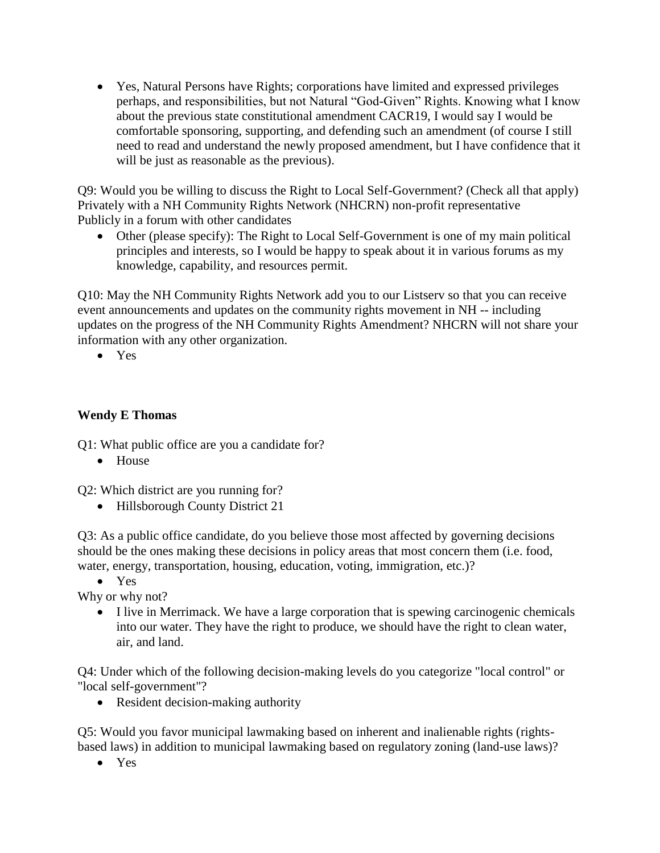• Yes, Natural Persons have Rights; corporations have limited and expressed privileges perhaps, and responsibilities, but not Natural "God-Given" Rights. Knowing what I know about the previous state constitutional amendment CACR19, I would say I would be comfortable sponsoring, supporting, and defending such an amendment (of course I still need to read and understand the newly proposed amendment, but I have confidence that it will be just as reasonable as the previous).

Q9: Would you be willing to discuss the Right to Local Self-Government? (Check all that apply) Privately with a NH Community Rights Network (NHCRN) non-profit representative Publicly in a forum with other candidates

• Other (please specify): The Right to Local Self-Government is one of my main political principles and interests, so I would be happy to speak about it in various forums as my knowledge, capability, and resources permit.

Q10: May the NH Community Rights Network add you to our Listserv so that you can receive event announcements and updates on the community rights movement in NH -- including updates on the progress of the NH Community Rights Amendment? NHCRN will not share your information with any other organization.

• Yes

#### **Wendy E Thomas**

Q1: What public office are you a candidate for?

• House

Q2: Which district are you running for?

• Hillsborough County District 21

Q3: As a public office candidate, do you believe those most affected by governing decisions should be the ones making these decisions in policy areas that most concern them (i.e. food, water, energy, transportation, housing, education, voting, immigration, etc.)?

• Yes

Why or why not?

• I live in Merrimack. We have a large corporation that is spewing carcinogenic chemicals into our water. They have the right to produce, we should have the right to clean water, air, and land.

Q4: Under which of the following decision-making levels do you categorize "local control" or "local self-government"?

• Resident decision-making authority

Q5: Would you favor municipal lawmaking based on inherent and inalienable rights (rightsbased laws) in addition to municipal lawmaking based on regulatory zoning (land-use laws)?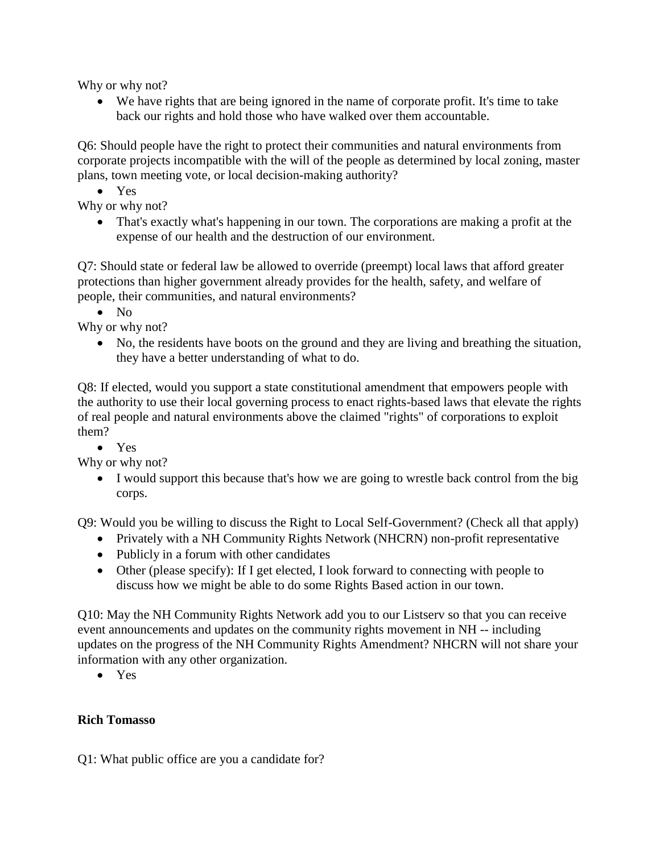Why or why not?

• We have rights that are being ignored in the name of corporate profit. It's time to take back our rights and hold those who have walked over them accountable.

Q6: Should people have the right to protect their communities and natural environments from corporate projects incompatible with the will of the people as determined by local zoning, master plans, town meeting vote, or local decision-making authority?

• Yes

Why or why not?

• That's exactly what's happening in our town. The corporations are making a profit at the expense of our health and the destruction of our environment.

Q7: Should state or federal law be allowed to override (preempt) local laws that afford greater protections than higher government already provides for the health, safety, and welfare of people, their communities, and natural environments?

• No

Why or why not?

• No, the residents have boots on the ground and they are living and breathing the situation, they have a better understanding of what to do.

Q8: If elected, would you support a state constitutional amendment that empowers people with the authority to use their local governing process to enact rights-based laws that elevate the rights of real people and natural environments above the claimed "rights" of corporations to exploit them?

• Yes

Why or why not?

• I would support this because that's how we are going to wrestle back control from the big corps.

Q9: Would you be willing to discuss the Right to Local Self-Government? (Check all that apply)

- Privately with a NH Community Rights Network (NHCRN) non-profit representative
- Publicly in a forum with other candidates
- Other (please specify): If I get elected, I look forward to connecting with people to discuss how we might be able to do some Rights Based action in our town.

Q10: May the NH Community Rights Network add you to our Listserv so that you can receive event announcements and updates on the community rights movement in NH -- including updates on the progress of the NH Community Rights Amendment? NHCRN will not share your information with any other organization.

• Yes

## **Rich Tomasso**

Q1: What public office are you a candidate for?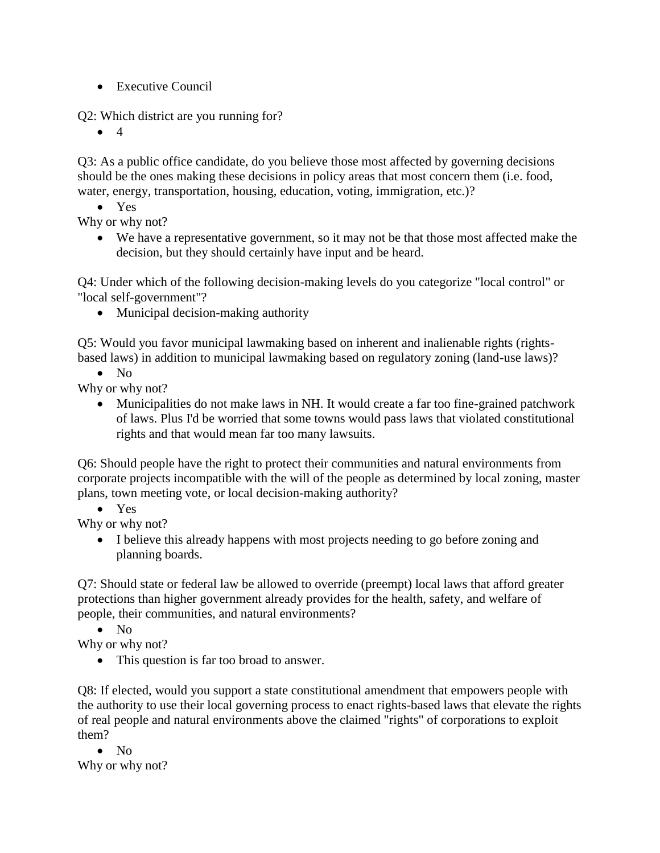• Executive Council

Q2: Which district are you running for?

 $\bullet$  4

Q3: As a public office candidate, do you believe those most affected by governing decisions should be the ones making these decisions in policy areas that most concern them (i.e. food, water, energy, transportation, housing, education, voting, immigration, etc.)?

• Yes

Why or why not?

• We have a representative government, so it may not be that those most affected make the decision, but they should certainly have input and be heard.

Q4: Under which of the following decision-making levels do you categorize "local control" or "local self-government"?

• Municipal decision-making authority

Q5: Would you favor municipal lawmaking based on inherent and inalienable rights (rightsbased laws) in addition to municipal lawmaking based on regulatory zoning (land-use laws)?

• No

Why or why not?

• Municipalities do not make laws in NH. It would create a far too fine-grained patchwork of laws. Plus I'd be worried that some towns would pass laws that violated constitutional rights and that would mean far too many lawsuits.

Q6: Should people have the right to protect their communities and natural environments from corporate projects incompatible with the will of the people as determined by local zoning, master plans, town meeting vote, or local decision-making authority?

• Yes

Why or why not?

• I believe this already happens with most projects needing to go before zoning and planning boards.

Q7: Should state or federal law be allowed to override (preempt) local laws that afford greater protections than higher government already provides for the health, safety, and welfare of people, their communities, and natural environments?

• No

Why or why not?

• This question is far too broad to answer.

Q8: If elected, would you support a state constitutional amendment that empowers people with the authority to use their local governing process to enact rights-based laws that elevate the rights of real people and natural environments above the claimed "rights" of corporations to exploit them?

 $\bullet$  No Why or why not?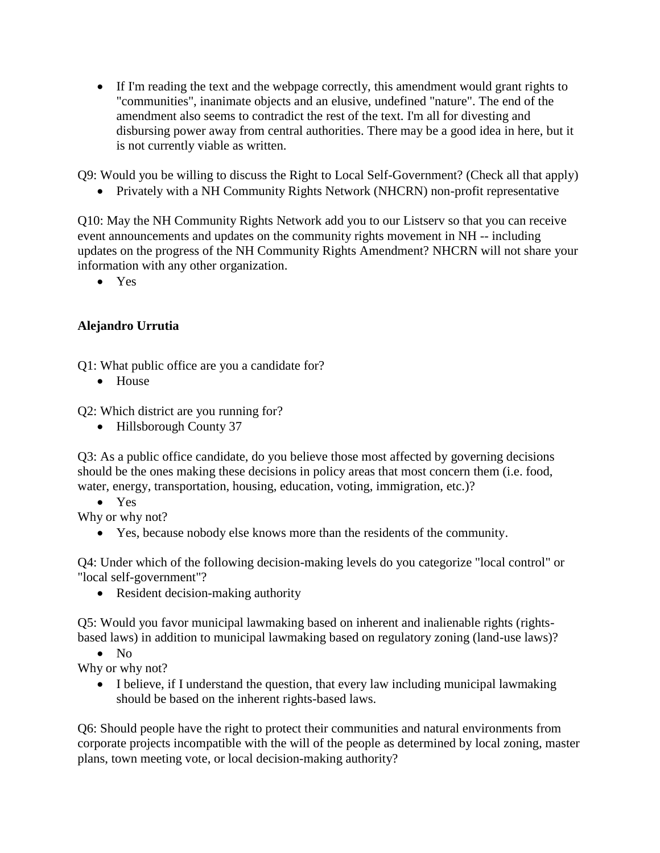• If I'm reading the text and the webpage correctly, this amendment would grant rights to "communities", inanimate objects and an elusive, undefined "nature". The end of the amendment also seems to contradict the rest of the text. I'm all for divesting and disbursing power away from central authorities. There may be a good idea in here, but it is not currently viable as written.

Q9: Would you be willing to discuss the Right to Local Self-Government? (Check all that apply)

• Privately with a NH Community Rights Network (NHCRN) non-profit representative

Q10: May the NH Community Rights Network add you to our Listserv so that you can receive event announcements and updates on the community rights movement in NH -- including updates on the progress of the NH Community Rights Amendment? NHCRN will not share your information with any other organization.

• Yes

# **Alejandro Urrutia**

Q1: What public office are you a candidate for?

• House

Q2: Which district are you running for?

• Hillsborough County 37

Q3: As a public office candidate, do you believe those most affected by governing decisions should be the ones making these decisions in policy areas that most concern them (i.e. food, water, energy, transportation, housing, education, voting, immigration, etc.)?

• Yes

Why or why not?

• Yes, because nobody else knows more than the residents of the community.

Q4: Under which of the following decision-making levels do you categorize "local control" or "local self-government"?

• Resident decision-making authority

Q5: Would you favor municipal lawmaking based on inherent and inalienable rights (rightsbased laws) in addition to municipal lawmaking based on regulatory zoning (land-use laws)?

• No

Why or why not?

• I believe, if I understand the question, that every law including municipal lawmaking should be based on the inherent rights-based laws.

Q6: Should people have the right to protect their communities and natural environments from corporate projects incompatible with the will of the people as determined by local zoning, master plans, town meeting vote, or local decision-making authority?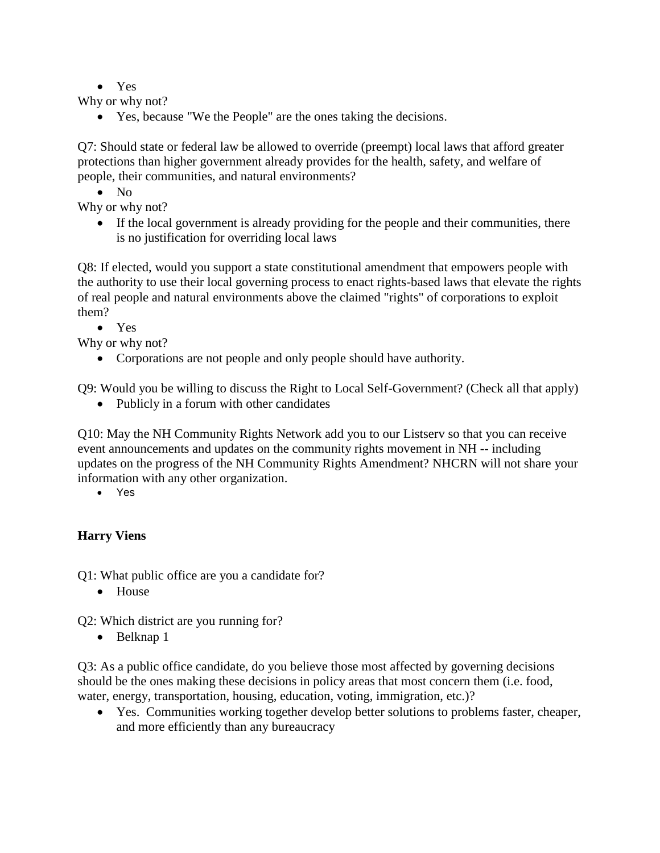• Yes

Why or why not?

• Yes, because "We the People" are the ones taking the decisions.

Q7: Should state or federal law be allowed to override (preempt) local laws that afford greater protections than higher government already provides for the health, safety, and welfare of people, their communities, and natural environments?

• No

Why or why not?

• If the local government is already providing for the people and their communities, there is no justification for overriding local laws

Q8: If elected, would you support a state constitutional amendment that empowers people with the authority to use their local governing process to enact rights-based laws that elevate the rights of real people and natural environments above the claimed "rights" of corporations to exploit them?

• Yes

Why or why not?

• Corporations are not people and only people should have authority.

Q9: Would you be willing to discuss the Right to Local Self-Government? (Check all that apply)

• Publicly in a forum with other candidates

Q10: May the NH Community Rights Network add you to our Listserv so that you can receive event announcements and updates on the community rights movement in NH -- including updates on the progress of the NH Community Rights Amendment? NHCRN will not share your information with any other organization.

• Yes

## **Harry Viens**

Q1: What public office are you a candidate for?

• House

Q2: Which district are you running for?

• Belknap 1

Q3: As a public office candidate, do you believe those most affected by governing decisions should be the ones making these decisions in policy areas that most concern them (i.e. food, water, energy, transportation, housing, education, voting, immigration, etc.)?

• Yes. Communities working together develop better solutions to problems faster, cheaper, and more efficiently than any bureaucracy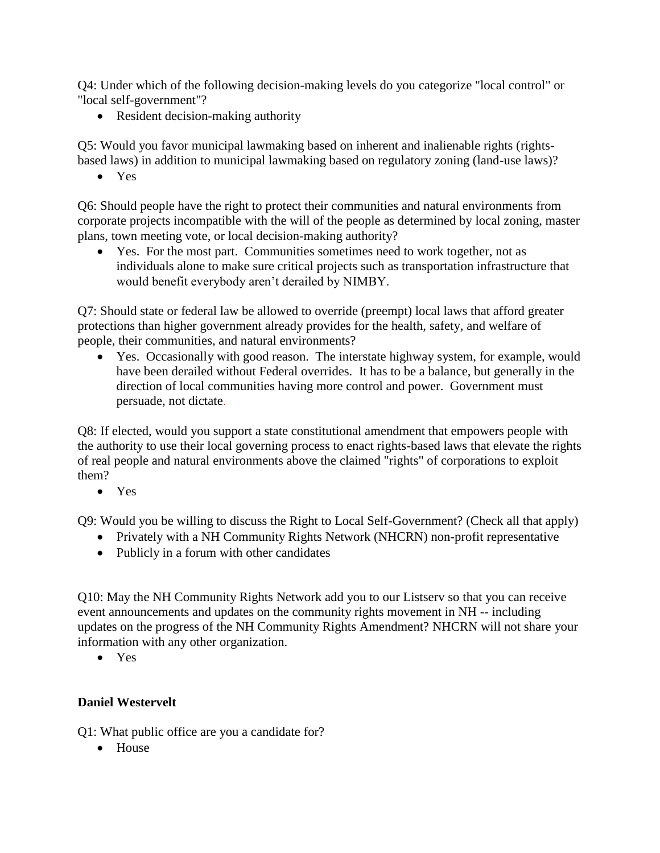Q4: Under which of the following decision-making levels do you categorize "local control" or "local self-government"?

• Resident decision-making authority

Q5: Would you favor municipal lawmaking based on inherent and inalienable rights (rightsbased laws) in addition to municipal lawmaking based on regulatory zoning (land-use laws)?

• Yes

Q6: Should people have the right to protect their communities and natural environments from corporate projects incompatible with the will of the people as determined by local zoning, master plans, town meeting vote, or local decision-making authority?

• Yes. For the most part. Communities sometimes need to work together, not as individuals alone to make sure critical projects such as transportation infrastructure that would benefit everybody aren't derailed by NIMBY.

Q7: Should state or federal law be allowed to override (preempt) local laws that afford greater protections than higher government already provides for the health, safety, and welfare of people, their communities, and natural environments?

• Yes. Occasionally with good reason. The interstate highway system, for example, would have been derailed without Federal overrides. It has to be a balance, but generally in the direction of local communities having more control and power. Government must persuade, not dictate.

Q8: If elected, would you support a state constitutional amendment that empowers people with the authority to use their local governing process to enact rights-based laws that elevate the rights of real people and natural environments above the claimed "rights" of corporations to exploit them?

• Yes

Q9: Would you be willing to discuss the Right to Local Self-Government? (Check all that apply)

- Privately with a NH Community Rights Network (NHCRN) non-profit representative
- Publicly in a forum with other candidates

Q10: May the NH Community Rights Network add you to our Listserv so that you can receive event announcements and updates on the community rights movement in NH -- including updates on the progress of the NH Community Rights Amendment? NHCRN will not share your information with any other organization.

• Yes

#### **Daniel Westervelt**

Q1: What public office are you a candidate for?

• House